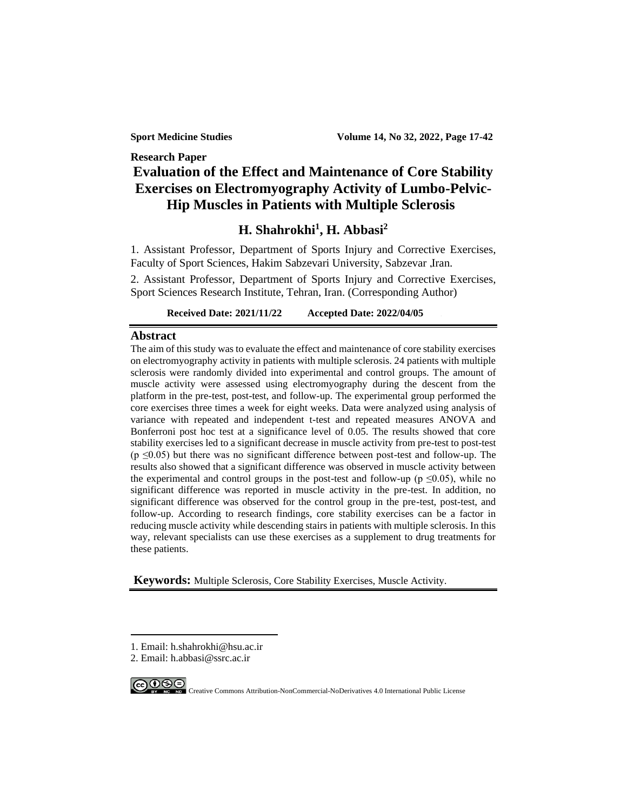**Sport Medicine Studies Volume 14, No 32, 2022, Page 17-42**

# **Research Paper Evaluation of the Effect and Maintenance of Core Stability Exercises on Electromyography Activity of Lumbo-Pelvic-Hip Muscles in Patients with Multiple Sclerosis<sup>1</sup>**

# **H. Shahrokhi<sup>1</sup> , H. Abbasi<sup>2</sup>**

1. Assistant Professor, Department of Sports Injury and Corrective Exercises, Faculty of Sport Sciences, Hakim Sabzevari University, Sabzevar ,Iran.

2. Assistant Professor, Department of Sports Injury and Corrective Exercises, Sport Sciences Research Institute, Tehran, Iran. (Corresponding Author)

**Received Date: 2021/11/22 Accepted Date: 2022/04/05 .1**

## **Abstract**

The aim of this study was to evaluate the effect and maintenance of core stability exercises on electromyography activity in patients with multiple sclerosis. 24 patients with multiple sclerosis were randomly divided into experimental and control groups. The amount of muscle activity were assessed using electromyography during the descent from the platform in the pre-test, post-test, and follow-up. The experimental group performed the core exercises three times a week for eight weeks. Data were analyzed using analysis of variance with repeated and independent t-test and repeated measures ANOVA and Bonferroni post hoc test at a significance level of 0.05. The results showed that core stability exercises led to a significant decrease in muscle activity from pre-test to post-test  $(p \le 0.05)$  but there was no significant difference between post-test and follow-up. The results also showed that a significant difference was observed in muscle activity between the experimental and control groups in the post-test and follow-up ( $p \le 0.05$ ), while no significant difference was reported in muscle activity in the pre-test. In addition, no significant difference was observed for the control group in the pre-test, post-test, and follow-up. According to research findings, core stability exercises can be a factor in reducing muscle activity while descending stairs in patients with multiple sclerosis. In this way, relevant specialists can use these exercises as a supplement to drug treatments for these patients.

**Keywords:** Multiple Sclerosis, Core Stability Exercises, Muscle Activity.

<sup>2.</sup> Email: h.abbasi@ssrc.ac.ir



<sup>1.</sup> Email: h.shahrokhi@hsu.ac.ir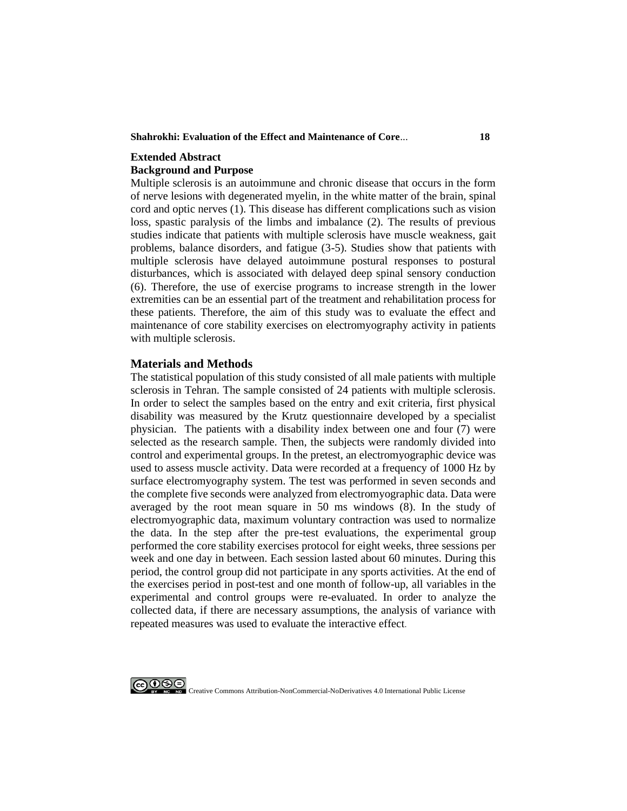**Shahrokhi: Evaluation of the Effect and Maintenance of Core**... **18**

# **Extended Abstract Background and Purpose**

Multiple sclerosis is an autoimmune and chronic disease that occurs in the form of nerve lesions with degenerated myelin, in the white matter of the brain, spinal cord and optic nerves (1). This disease has different complications such as vision loss, spastic paralysis of the limbs and imbalance (2). The results of previous studies indicate that patients with multiple sclerosis have muscle weakness, gait problems, balance disorders, and fatigue (3-5). Studies show that patients with multiple sclerosis have delayed autoimmune postural responses to postural disturbances, which is associated with delayed deep spinal sensory conduction (6). Therefore, the use of exercise programs to increase strength in the lower extremities can be an essential part of the treatment and rehabilitation process for these patients. Therefore, the aim of this study was to evaluate the effect and maintenance of core stability exercises on electromyography activity in patients with multiple sclerosis.

## **Materials and Methods**

The statistical population of this study consisted of all male patients with multiple sclerosis in Tehran. The sample consisted of 24 patients with multiple sclerosis. In order to select the samples based on the entry and exit criteria, first physical disability was measured by the Krutz questionnaire developed by a specialist physician. The patients with a disability index between one and four (7) were selected as the research sample. Then, the subjects were randomly divided into control and experimental groups. In the pretest, an electromyographic device was used to assess muscle activity. Data were recorded at a frequency of 1000 Hz by surface electromyography system. The test was performed in seven seconds and the complete five seconds were analyzed from electromyographic data. Data were averaged by the root mean square in 50 ms windows (8). In the study of electromyographic data, maximum voluntary contraction was used to normalize the data. In the step after the pre-test evaluations, the experimental group performed the core stability exercises protocol for eight weeks, three sessions per week and one day in between. Each session lasted about 60 minutes. During this period, the control group did not participate in any sports activities. At the end of the exercises period in post-test and one month of follow-up, all variables in the experimental and control groups were re-evaluated. In order to analyze the collected data, if there are necessary assumptions, the analysis of variance with repeated measures was used to evaluate the interactive effect.

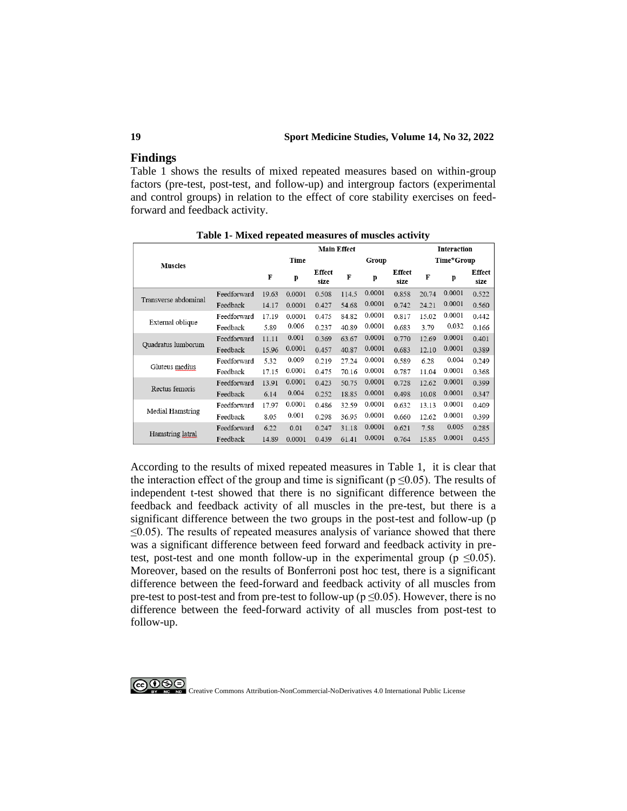## **19 Sport Medicine Studies, Volume 14, No 32, 2022**

## **Findings**

Table 1 shows the results of mixed repeated measures based on within-group factors (pre-test, post-test, and follow-up) and intergroup factors (experimental and control groups) in relation to the effect of core stability exercises on feedforward and feedback activity.

|                           |             | <b>Main Effect</b> |        |                       |       |        |                       | <b>Interaction</b> |        |                       |  |
|---------------------------|-------------|--------------------|--------|-----------------------|-------|--------|-----------------------|--------------------|--------|-----------------------|--|
| <b>Muscles</b>            |             | Time               |        |                       | Group |        |                       | Time*Group         |        |                       |  |
|                           |             | F                  | p      | <b>Effect</b><br>size | F     | p      | <b>Effect</b><br>size | F                  | p      | <b>Effect</b><br>size |  |
|                           | Feedforward | 19.63              | 0.0001 | 0.508                 | 114.5 | 0.0001 | 0.858                 | 20.74              | 0.0001 | 0.522                 |  |
| Transverse abdominal      | Feedback    | 14.17              | 0.0001 | 0.427                 | 54.68 | 0.0001 | 0.742                 | 24.21              | 0.0001 | 0.560                 |  |
|                           | Feedforward | 17.19              | 0.0001 | 0.475                 | 84.82 | 0.0001 | 0.817                 | 15.02              | 0.0001 | 0.442                 |  |
| External oblique          | Feedback    | 5.89               | 0.006  | 0.237                 | 40.89 | 0.0001 | 0.683                 | 3.79               | 0.032  | 0.166                 |  |
|                           | Feedforward | 11.11              | 0.001  | 0.369                 | 63.67 | 0.0001 | 0.770                 | 12.69              | 0.0001 | 0.401                 |  |
| <b>Ouadratus</b> lumborum | Feedback    | 15.96              | 0.0001 | 0.457                 | 40.87 | 0.0001 | 0.683                 | 12.10              | 0.0001 | 0.389                 |  |
|                           | Feedforward | 5.32               | 0.009  | 0.219                 | 27.24 | 0.0001 | 0.589                 | 6.28               | 0.004  | 0.249                 |  |
| Gluteus medius            | Feedback    | 17.15              | 0.0001 | 0.475                 | 70.16 | 0.0001 | 0.787                 | 11.04              | 0.0001 | 0.368                 |  |
|                           | Feedforward | 13.91              | 0.0001 | 0.423                 | 50.75 | 0.0001 | 0.728                 | 12.62              | 0.0001 | 0.399                 |  |
| Rectus femoris            | Feedback    | 6.14               | 0.004  | 0.252                 | 18.85 | 0.0001 | 0.498                 | 10.08              | 0.0001 | 0.347                 |  |
|                           | Feedforward | 17.97              | 0.0001 | 0.486                 | 32.59 | 0.0001 | 0.632                 | 13.13              | 0.0001 | 0.409                 |  |
| <b>Medial Hamstring</b>   | Feedback    | 8.05               | 0.001  | 0.298                 | 36.95 | 0.0001 | 0.660                 | 12.62              | 0.0001 | 0.399                 |  |
| Hamstring latral          | Feedforward | 6.22               | 0.01   | 0.247                 | 31.18 | 0.0001 | 0.621                 | 7.58               | 0.005  | 0.285                 |  |
|                           | Feedback    | 14.89              | 0.0001 | 0.439                 | 61.41 | 0.0001 | 0.764                 | 15.85              | 0.0001 | 0.455                 |  |

**Table 1- Mixed repeated measures of muscles activity**

According to the results of mixed repeated measures in Table 1, it is clear that the interaction effect of the group and time is significant ( $p \le 0.05$ ). The results of independent t-test showed that there is no significant difference between the feedback and feedback activity of all muscles in the pre-test, but there is a significant difference between the two groups in the post-test and follow-up (p  $\leq$ 0.05). The results of repeated measures analysis of variance showed that there was a significant difference between feed forward and feedback activity in pretest, post-test and one month follow-up in the experimental group ( $p \le 0.05$ ). Moreover, based on the results of Bonferroni post hoc test, there is a significant difference between the feed-forward and feedback activity of all muscles from pre-test to post-test and from pre-test to follow-up ( $p \le 0.05$ ). However, there is no difference between the feed-forward activity of all muscles from post-test to follow-up.

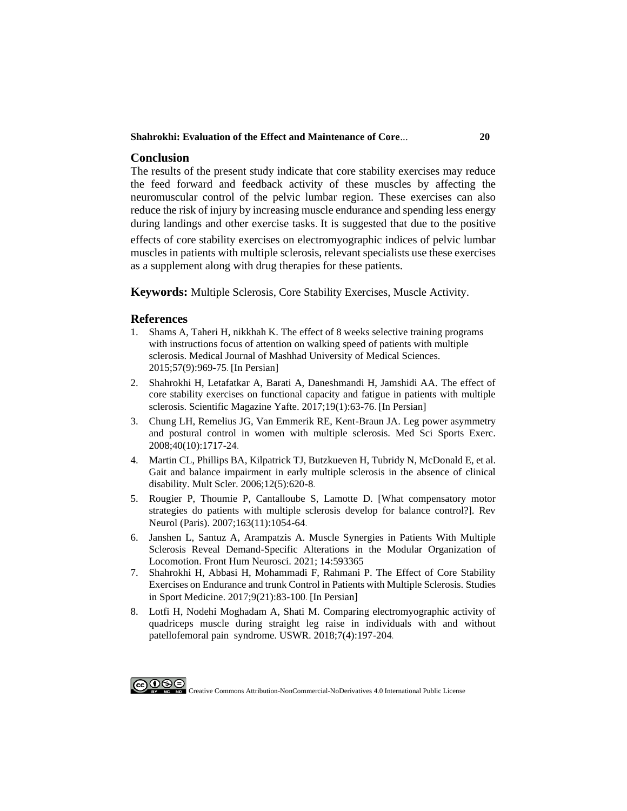#### **Shahrokhi: Evaluation of the Effect and Maintenance of Core**... **20**

## **Conclusion**

The results of the present study indicate that core stability exercises may reduce the feed forward and feedback activity of these muscles by affecting the neuromuscular control of the pelvic lumbar region. These exercises can also reduce the risk of injury by increasing muscle endurance and spending less energy during landings and other exercise tasks . It is suggested that due to the positive

effects of core stability exercises on electromyographic indices of pelvic lumbar muscles in patients with multiple sclerosis, relevant specialists use these exercises as a supplement along with drug therapies for these patients.

**Keywords:** Multiple Sclerosis, Core Stability Exercises, Muscle Activity.

### **References**

- 1. [Shams A, Taheri H, nikkhah K. The effect of 8 weeks selective training programs](https://mjms.mums.ac.ir/article_3915.html)  [with instructions focus of attention on walking speed of patients with multiple](https://mjms.mums.ac.ir/article_3915.html)  [sclerosis. Medical Journal of Mashhad University of Medical Sciences.](https://mjms.mums.ac.ir/article_3915.html)  [2015;57\(9\):969-75](https://mjms.mums.ac.ir/article_3915.html). [In Persian]
- 2. [Shahrokhi H, Letafatkar A, Barati A, Daneshmandi H, Jamshidi AA. The effect of](http://yafte.lums.ac.ir/article-1-2480-en.html)  [core stability exercises on functional capacity and fatigue in patients with multiple](http://yafte.lums.ac.ir/article-1-2480-en.html)  [sclerosis. Scientific Magazine](http://yafte.lums.ac.ir/article-1-2480-en.html) Yafte. 2017;19(1):63-76. [In Persian]
- 3. [Chung LH, Remelius JG, Van Emmerik RE, Kent-Braun JA. Leg power asymmetry](https://www.ncbi.nlm.nih.gov/pubmed/18799980)  [and postural control in women with multiple sclerosis. Med Sci Sports Exerc.](https://www.ncbi.nlm.nih.gov/pubmed/18799980)  [2008;40\(10\):1717-24](https://www.ncbi.nlm.nih.gov/pubmed/18799980) .
- 4. [Martin CL, Phillips BA, Kilpatrick TJ, Butzkueven H, Tubridy N, McDonald E, et al.](https://www.ncbi.nlm.nih.gov/pubmed/17086909)  [Gait and balance impairment in early multiple sclerosis in the absence of clinical](https://www.ncbi.nlm.nih.gov/pubmed/17086909)  [disability. Mult Scler. 2006;12\(5\):620-8](https://www.ncbi.nlm.nih.gov/pubmed/17086909) .
- 5. [Rougier P, Thoumie P, Cantalloube S, Lamotte D. \[What compensatory motor](https://www.ncbi.nlm.nih.gov/pubmed/18033044)  [strategies do patients with multiple sclerosis develop for balance control?\]. Rev](https://www.ncbi.nlm.nih.gov/pubmed/18033044)  Neurol [\(Paris\). 2007;163\(11\):1054-64](https://www.ncbi.nlm.nih.gov/pubmed/18033044) .
- 6. [Janshen L, Santuz A, Arampatzis A. Muscle Synergies in Patients With Multiple](https://pubmed.ncbi.nlm.nih.gov/33584221)  [Sclerosis Reveal Demand-Specific Alterations in the Modular Organization of](https://pubmed.ncbi.nlm.nih.gov/33584221)  [Locomotion. Front Hum Neurosci. 2021; 14:593365](https://pubmed.ncbi.nlm.nih.gov/33584221)
- 7. [Shahrokhi H, Abbasi H, Mohammadi F, Rahmani P. The Effect of Core Stability](https://smj.ssrc.ac.ir/article_1038.html)  [Exercises on Endurance and trunk Control in Patients with Multiple Sclerosis. Studies](https://smj.ssrc.ac.ir/article_1038.html)  [in Sport Medicine. 2017;9\(21\):83-100](https://smj.ssrc.ac.ir/article_1038.html). [In Persian]
- 8. [Lotfi H, Nodehi Moghadam A, Shati M. Comparing electromyographic activity of](http://ptj.uswr.ac.ir/article-1-356-en.html)  [quadriceps muscle during straight leg raise in individuals with and without](http://ptj.uswr.ac.ir/article-1-356-en.html)  [patellofemoral pain syndrome. USWR. 2018;7\(4\):197-204](http://ptj.uswr.ac.ir/article-1-356-en.html) .

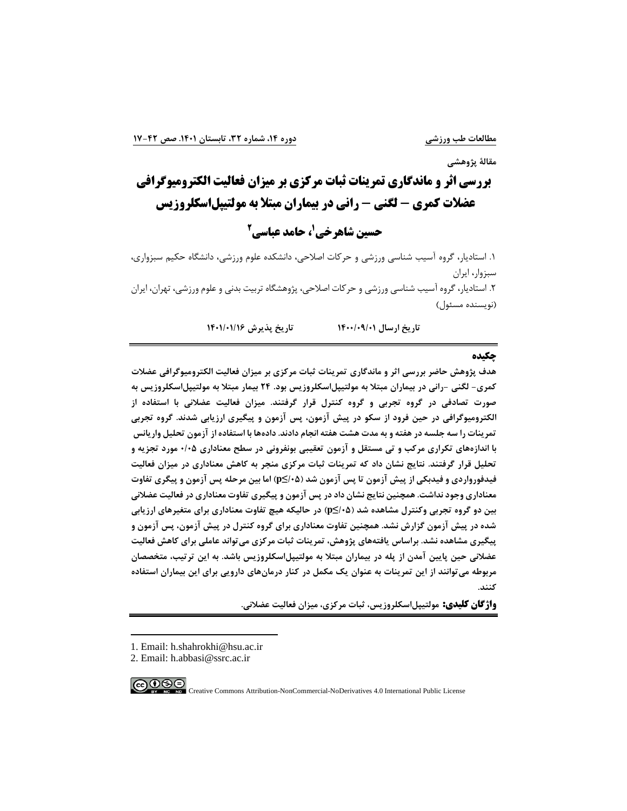**مقالة پژوهشی**

**بررسی اثر و ماندگاری تمرینات ثبات مرکزی بر میزان فعالیت الکترومیوگرافی 1 عضالت کمری - لگنی - رانی در بیماران مبتال به مولتیپلاسکلروزیس**

**2 ، حامد عباسی <sup>1</sup> حسین شاهرخی**

.1 استادیار، گروه آسیب شناسی ورزشی و حرکات اصالحی، دانشکده علوم ورزشی، دانشگاه حکیم سبزواری، سبزوار، ایران .2 استادیار، گروه آسیب شناسی ورزشی و حرکات اصالحی، پژوهشگاه تربیت بدنی و علوم ورزشی، تهران، ایران )نویسنده مسئول(

**تاریخ ارسال /01 1400/09 تاریخ پذیرش /16 1401/01** 

#### **چکیده**

**هدف پژوهش حاضر بررسی اثر و ماندگاری تمرینات ثبات مرکزی بر میزان فعالیت الکترومیوگرافی عضالت کمری- لگنی -رانی در بیماران مبتال به مولتیپلاسکلروزیس بود. 24 بیمار مبتال به مولتیپلاسکلروزیس به صورت تصادفی در گروه تجربی و گروه کنترل قرار گرفتند. میزان فعالیت عضالنی با استفاده از الکترومیوگرافی در حین فرود از سکو در پیش آزمون، پس آزمون و پیگیری ارزیابی شدند. گروه تجربی تمرینات را سه جلسه در هفته و به مدت هشت هفته انجام دادند. داده ها با استفاده از آزمون تحلیل واریانس با اندازههای تکراری مرکب و تی مستقل و آزمون تعقیبی بونفرونی در سطح معناداری 0/05 مورد تجزیه و تحلیل قرار گرفتند. نتایج نشان داد که تمرینات ثبات مرکزی منجر به کاهش معناداری در میزان فعالیت فیدفورواردی و فیدبکی از پیش آزمون تا پس آزمون شد )/05≥p )اما بین مرحله پس آزمون و پیگری تفاوت معناداری وجود نداشت. همچنین نتایج نشان داد در پس آزمون و پیگیری تفاوت معناداری در فعالیت عضالنی بین دو گروه تجربی وکنترل مشاهده شد )/05≥p )در حالیکه هیچ تفاوت معناداری برای متغیرهای ارزیابی شده در پیش آزمون گزارش نشد. همچنین تفاوت معناداری برای گروه کنترل در پیش آزمون، پس آزمون و پیگیری مشاهده نشد. براساس یافته های پژوهش، تمرینات ثبات مرکزی میتواند عاملی برای کاهش فعالیت عضالنی حین پایین آمدن از پله در بیماران مبتال به مولتیپلاسکلروزیس باشد. به این ترتیب، متخصصان مربوطه میتوانند از این تمرینات به عنوان یک مکمل در کنار درمانهای دارویی برای این بیماران استفاده کنند.** 

**واژگان کلیدی: مولتیپلاسکلروزیس، ثبات مرکزی، میزان فعالیت عضالنی.**

<sup>2.</sup> Email: h.abbasi@ssrc.ac.ir



<sup>1.</sup> Email: h.shahrokhi@hsu.ac.ir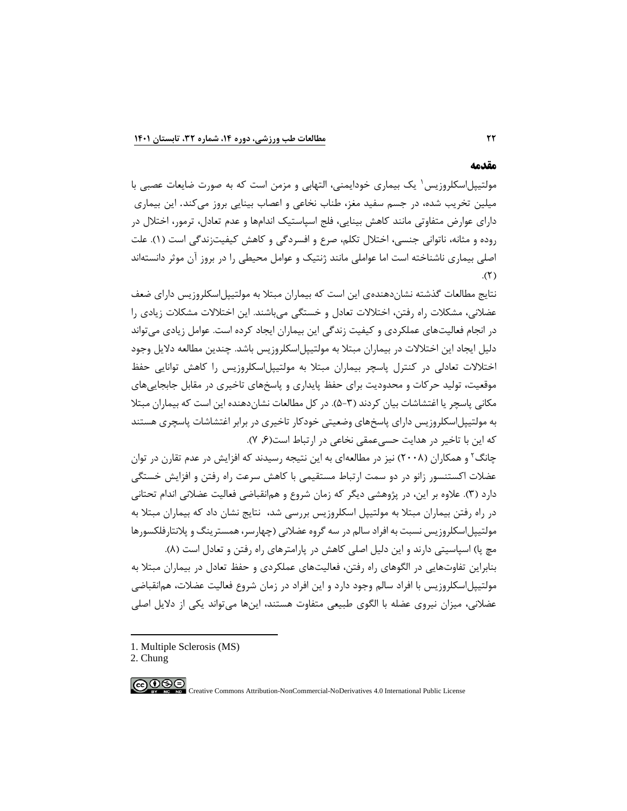#### **مقدمه**

مولتیپل|سکلروزیس ٰ یک بیماری خودایمنی، التهابی و مزمن است که به صورت ضایعات عصبی با میلین تخریب شده، در جسم سفید مغز، طناب نخاعی و اعصاب بینایی بروز میکند. این بیماری دارای عوارض متفاوتی مانند کاهش بینایی، فلج اسپاستیك اندامها و عدم تعادل، ترمور، اختالل در روده و مثانه، ناتوانی جنسی، اختالل تکلم، صرع و افسردگی و کاهش کیفیتزندگی است )1(. علت اصلی بیماری ناشناخته است اما عواملی مانند ژنتیك و عوامل محیطی را در بروز آن موثر دانستهاند  $(5)$ 

نتایج مطالعات گذشته نشاندهنده ی این است که بیماران مبتال به مولتیپل اسکلروزیس دارای ضعف عضالنی، مشکالت راه رفتن، اختالالت تعادل و خستگی میباشند. این اختالالت مشکالت زیادی را در انجام فعالیتهای عملکردی و کیفیت زندگی این بیماران ایجاد کرده است. عوامل زیادی می تواند دلیل ایجاد این اختالالت در بیماران مبتال به مولتیپلاسکلروزیس باشد. چندین مطالعه دالیل وجود اختالالت تعادلی در کنترل پاسچر بیماران مبتال به مولتیپلاسکلروزیس را کاهش توانایی حفظ موقعیت، تولید حرکات و محدودیت برای حفظ پایداری و پاسخهای تاخیری در مقابل جابجایی های مکانی پاسچر یا اغتشاشات بیان کردند (۳-۵). در کل مطالعات نشاندهنده این است که بیماران مبتلا به مولتیپلاسکلروزیس دارای پاسخهای وضعیتی خودکار تاخیری در برابر اغتشاشات پاسچری هستند که این با تاخیر در هدایت حسے عمقی نخاعی در ارتباط است(۶, ۷).

چانگ<sup>۲</sup> و همکاران (۲۰۰۸) نیز در مطالعهای به این نتیجه رسیدند که افزایش در عدم تقارن در توان عضالت اکستنسور زانو در دو سمت ارتباط مستقیمی با کاهش سرعت راه رفتن و افزایش خستگی دارد )3(. عالوه بر این، در پژوهشی دیگر که زمان شروع و همانقباضی فعالیت عضالنی اندام تحتانی در راه رفتن بیماران مبتال به مولتیپل اسکلروزیس بررسی شد، نتایج نشان داد که بیماران مبتال به مولتیپل|سکلروزیس نسبت به افراد سالم در سه گروه عضلانی (چهارسر، همسترینگ و پلانتارفلکسورها مچ پا) اسپاسیتی دارند و این دلیل اصلی کاهش در پارامترهای راه رفتن و تعادل است (٨). بنابراین تفاوتهایی در الگوهای راه رفتن، فعالیتهای عملکردی و حفظ تعادل در بیماران مبتال به

مولتیپلاسکلروزیس با افراد سالم وجود دارد و این افراد در زمان شروع فعالیت عضالت، همانقباضی عضالنی، میزان نیروی عضله با الگوی طبیعی متفاوت هستند، اینها میتواند یکی از دالیل اصلی

1. Multiple Sclerosis (MS)

2. Chung

Creative Commons Attribution-NonCommercial-NoDerivatives 4.0 International Public License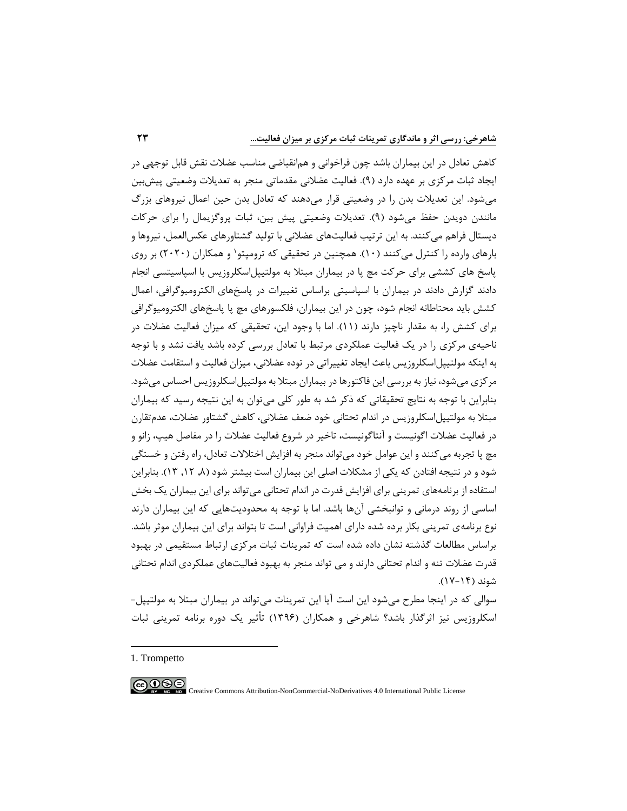کاهش تعادل در این بیماران باشد چون فراخوانی و همانقباضی مناسب عضالت نقش قابل توجهی در ایجاد ثبات مرکزی بر عهده دارد (۹). فعالیت عضلانی مقدماتی منجر به تعدیلات وضعیتی پیشبین میشود. این تعدیالت بدن را در وضعیتی قرار میدهند که تعادل بدن حین اعمال نیروهای بزرگ مانندن دویدن حفظ میشود )9(. تعدیالت وضعیتی پیش بین، ثبات پروگزیمال را برای حرکات دیستال فراهم می کنند. به این ترتیب فعالیتهای عضالنی با تولید گشتاورهای عکسالعمل، نیروها و بارهای وارده را کنترل میکنند (۱۰). همچنین در تحقیقی که ترومپتو و همکاران (۲۰۲۰) بر روی پاسخ های کششی برای حرکت مچ پا در بیماران مبتال به مولتیپلاسکلروزیس با اسپاسیتسی انجام دادند گزارش دادند در بیماران با اسپاسیتی براساس تغییرات در پاسخهای الکترومیوگرافی، اعمال کشش باید محتاطانه انجام شود، چون در این بیماران، فلکسورهای مچ پا پاسخ های الکترومیوگرافی برای کشش را، به مقدار ناچیز دارند (۱۱). اما با وجود این، تحقیقی که میزان فعالیت عضلات در ناحیهی مرکزی را در یك فعالیت عملکردی مرتبط با تعادل بررسی کرده باشد یافت نشد و با توجه به اینکه مولتیپلاسکلروزیس باعث ایجاد تغییراتی در توده عضالنی، میزان فعالیت و استقامت عضالت مرکزی میشود، نیاز به بررسی این فاکتورها در بیماران مبتال به مولتیپلاسکلروزیس احساس میشود. بنابراین با توجه به نتایج تحقیقاتی که ذکر شد به طور کلی میتوان به این نتیجه رسید که بیماران مبتال به مولتیپلاسکلروزیس در اندام تحتانی خود ضعف عضالنی، کاهش گشتاور عضالت، عدمتقارن در فعالیت عضالت اگونیست و آنتاگونیست، تاخیر در شروع فعالیت عضالت را در مفاصل هیپ، زانو و مچ پا تجربه می کنند و این عوامل خود می تواند منجر به افزایش اختلالات تعادل، راه رفتن و خستگی شود و در نتیجه افتادن که یکی از مشکالت اصلی این بیماران است بیشتر شود ),8 ,12 13( . بنابراین استفاده از برنامههای تمرینی برای افزایش قدرت در اندام تحتانی می تواند برای این بیماران یک بخش اساسی از روند درمانی و توانبخشی آنها باشد. اما با توجه به محدودیتهایی که این بیماران دارند نوع برنامهی تمرینی بکار برده شده دارای اهمیت فراوانی است تا بتواند برای این بیماران موثر باشد. براساس مطالعات گذشته نشان داده شده است که تمرینات ثبات مرکزی ارتباط مستقیمی در بهبود قدرت عضالت تنه و اندام تحتانی دارند و می تواند منجر به بهبود فعالیتهای عملکردی اندام تحتانی شوند )17-14(.

سوالی که در اینجا مطرح میشود این است آیا این تمرینات میتواند در بیماران مبتال به مولتیپل- اسکلروزیس نیز اثرگذار باشد؟ شاهرخی و همکاران )1396( تأثیر یك دوره برنامه تمرینی ثبات

 $\bigodot \limits_{\tiny{\begin{array}{l} \mathfrak{S} \end{array}}\mathfrak{S} \end{array}}$ Creative Commons Attribution-NonCommercial-NoDerivatives 4.0 International Public License

<sup>1.</sup> Trompetto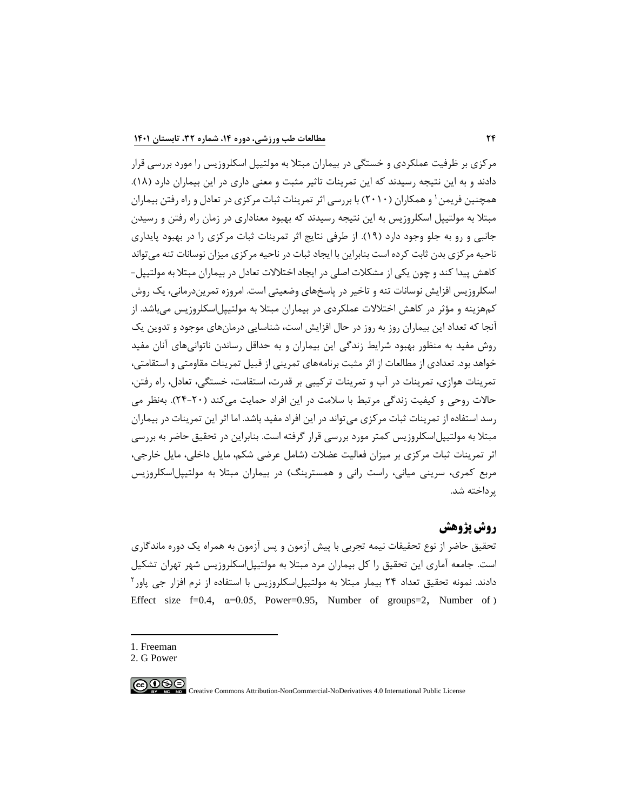مرکزی بر ظرفیت عملکردی و خستگی در بیماران مبتال به مولتیپل اسکلروزیس را مورد بررسی قرار دادند و به این نتیجه رسیدند که این تمرینات تاثیر مثبت و معنی داری در این بیماران دارد (۱۸). همچنین فریمن ۱ و همکاران (۲۰۱۰) با بررسی اثر تمرینات ثبات مرکزی در تعادل و راه رفتن بیماران مبتال به مولتیپل اسکلروزیس به این نتیجه رسیدند که بهبود معناداری در زمان راه رفتن و رسیدن جانبی و رو به جلو وجود دارد )19(. از طرفی نتایج اثر تمرینات ثبات مرکزی را در بهبود پایداری ناحیه مرکزی بدن ثابت کرده است بنابراین با ایجاد ثبات در ناحیه مرکزی میزان نوسانات تنه میتواند کاهش پیدا کند و چون یکی از مشکالت اصلی در ایجاد اختالالت تعادل در بیماران مبتال به مولتیپل- اسکلروزیس افزایش نوسانات تنه و تاخیر در پاسخهای وضعیتی است. امروزه تمریندرمانی، یك روش کمهزینه و مؤثر در کاهش اختالالت عملکردی در بیماران مبتال به مولتیپلاسکلروزیس میباشد. از آنجا که تعداد این بیماران روز به روز در حال افزایش است، شناسایی درمانهای موجود و تدوین یك روش مفید به منظور بهبود شرایط زندگی این بیماران و به حداقل رساندن ناتوانی های آنان مفید خواهد بود. تعدادی از مطالعات از اثر مثبت برنامههای تمرینی از قبیل تمرینات مقاومتی و استقامتی، تمرینات هوازی، تمرینات در آب و تمرینات ترکیبی بر قدرت، استقامت، خستگی، تعادل، راه رفتن، حاالت روحی و کیفیت زندگی مرتبط با سالمت در این افراد حمایت می کند )24-20(. بهنظر می رسد استفاده از تمرینات ثبات مرکزی میتواند در این افراد مفید باشد. اما اثر این تمرینات در بیماران مبتال به مولتیپلاسکلروزیس کمتر مورد بررسی قرار گرفته است. بنابراین در تحقیق حاضر به بررسی اثر تمرینات ثبات مرکزی بر میزان فعالیت عضالت )شامل عرضی شکم، مایل داخلی، مایل خارجی، مربع کمری، سرینی میانی، راست رانی و همسترینگ) در بیماران مبتلا به مولتیپل|سکلروزیس پرداخته شد.

# **روش پژوهش**

تحقیق حاضر از نوع تحقیقات نیمه تجربی با پیش آزمون و پس آزمون به همراه یك دوره ماندگاری است. جامعه آماری این تحقیق را کل بیماران مرد مبتال به مولتیپلاسکلروزیس شهر تهران تشکیل دادند. نمونه تحقیق تعداد ۲۴ بیمار مبتلا به مولتیپل|سکلروزیس با استفاده از نرم افزار جی پاور<sup>۲</sup> Effect size f=0.4,  $\alpha$ =0.05, Power=0.95, Number of groups=2, Number of (

1. Freeman

 $\bigodot \bigodot \limits_{{\bf k}} \bigodot \bigodot \limits_{{\bf k}}$ 

<sup>2.</sup> G Power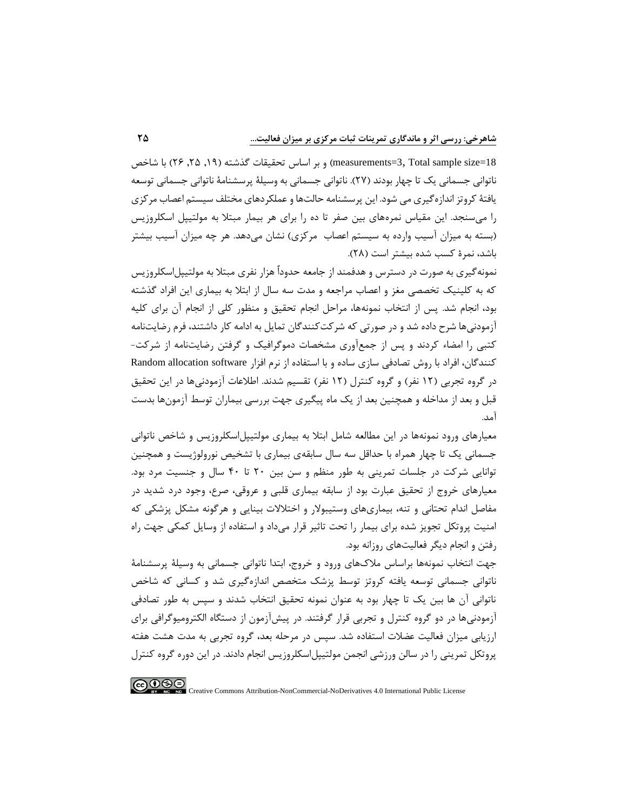18=measurements=3, Total sample size ) و بر اساس تحقیقات گذشته (١٩, ٢۵, ٢۶) با شاخص ناتوانی جسمانی یك تا چهار بودند )27(. ناتوانی جسمانی به وسیلۀ پرسشنامۀ ناتوانی جسمانی توسعه یافتۀ کروتز اندازهگیری می شود. این پرسشنامه حالتها و عملکردهای مختلف سیستم اعصاب مرکزی را میسنجد. این مقیاس نمرههای بین صفر تا ده را برای هر بیمار مبتال به مولتیپل اسکلروزیس (بسته به میزان آسیب وارده به سیستم اعصاب ًمرکزی) نشان میدهد. هر چه میزان آسیب بیشتر باشد، نمرة کسب شده بیشتر است )28(.

نمونهگیری به صورت در دسترس و هدفمند از جامعه حدوداٌ هزار نفری مبتال به مولتیپلاسکلروزیس که به کلینیك تخصصی مغز و اعصاب مراجعه و مدت سه سال از ابتال به بیماری این افراد گذشته بود، انجام شد. پس از انتخاب نمونهها، مراحل انجام تحقیق و منظور کلی از انجام آن برای کلیه آزمودنیها شرح داده شد و در صورتی که شرکتکنندگان تمایل به ادامه کار داشتند، فرم رضایتنامه کتبی را امضاء کردند و پس از جمعآوری مشخصات دموگرافیك و گرفتن رضایتنامه از شرکت- کنندگان، افراد با روش تصادفی سازی ساده و با استفاده از نرم افزار Random allocation software در گروه تجربی (۱۲ نفر) و گروه کنترل (۱۲ نفر) تقسیم شدند. اطلاعات آزمودنی ها در این تحقیق قبل و بعد از مداخله و همچنین بعد از یك ماه پیگیری جهت بررسی بیماران توسط آزمونها بدست آمد.

معیارهای ورود نمونهها در این مطالعه شامل ابتال به بیماری مولتیپلاسکلروزیس و شاخص ناتوانی جسمانی یك تا چهار همراه با حداقل سه سال سابقهی بیماری با تشخیص نورولوژیست و همچنین توانایی شرکت در جلسات تمرینی به طور منظم و سن بین 20 تا 40 سال و جنسیت مرد بود. معیارهای خروج از تحقیق عبارت بود از سابقه بیماری قلبی و عروقی، صرع، وجود درد شدید در مفاصل اندام تحتانی و تنه، بیماریهای وستیبوالر و اختالالت بینایی و هرگونه مشکل پزشکی که امنیت پروتکل تجویز شده برای بیمار را تحت تاثیر قرار میداد و استفاده از وسایل کمکی جهت راه رفتن و انجام دیگر فعالیتهای روزانه بود.

جهت انتخاب نمونهها براساس مالکهای ورود و خروج، ابتدا ناتوانی جسمانی به وسیلۀ پرسشنامۀ ناتوانی جسمانی توسعه یافته کروتز توسط پزشك متخصص اندازهگیری شد و کسانی که شاخص ناتوانی آن ها بین یك تا چهار بود به عنوان نمونه تحقیق انتخاب شدند و سپس به طور تصادفی آزمودنیها در دو گروه کنترل و تجربی قرار گرفتند. در پیشآزمون از دستگاه الکترومیوگرافی برای ارزیابی میزان فعالیت عضالت استفاده شد. سپس در مرحله بعد، گروه تجربی به مدت هشت هفته پروتکل تمرینی را در سالن ورزشی انجمن مولتیپلاسکلروزیس انجام دادند. در این دوره گروه کنترل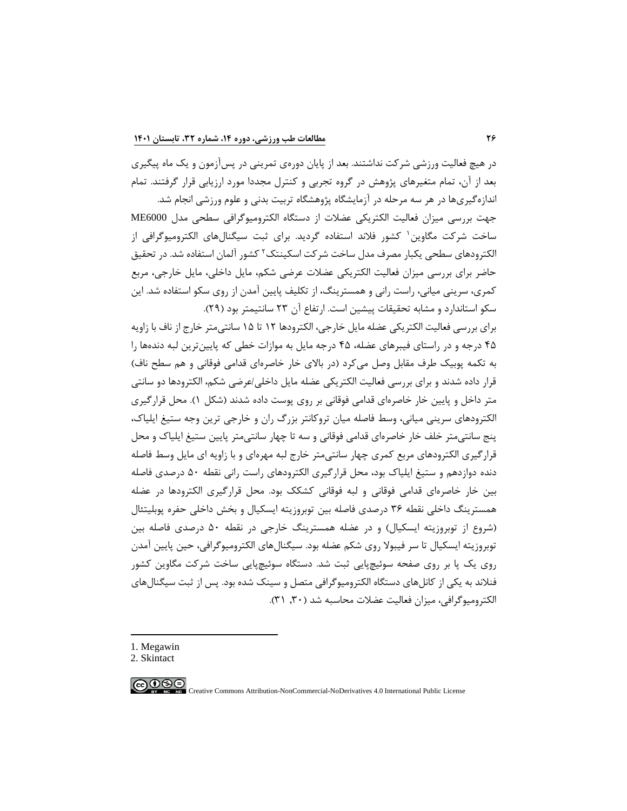در هیچ فعالیت ورزشی شرکت نداشتند. بعد از پایان دورهی تمرینی در پسآزمون و یك ماه پیگیری بعد از آن، تمام متغیرهای پژوهش در گروه تجربی و کنترل مجددا مورد ارزیابی قرار گرفتند. تمام

اندازهگیریها در هر سه مرحله در آزمایشگاه پژوهشگاه تربیت بدنی و علوم ورزشی انجام شد. جهت بررسی میزان فعالیت الکتریکی عضالت از دستگاه الکترومیوگرافی سطحی مدل 6000ME <sup>1</sup> ساخت شرکت مگاوین کشور فالند استفاده گردید. برای ثبت سیگنالهای الکترومیوگرافی از لکترودهای سطحی یکبار مصرف مدل ساخت شرکت اسکینتک<sup>۲</sup> کشور آلمان استفاده شد. در تحقیق حاضر برای بررسی میزان فعالیت الکتریکی عضالت عرضی شکم، مایل داخلی، مایل خارجی، مربع کمری، سرینی میانی، راست رانی و همسترینگ، از تکلیف پایین آمدن از روی سکو استفاده شد. این سکو استاندارد و مشابه تحقیقات پیشین است. ارتفاع آن 23 سانتیمتر بود )29(.

برای بررسی فعالیت الکتریکی عضله مایل خارجی، الکترودها 12 تا 15 سانتی متر خارج از ناف با زاویه 45 درجه و در راستای فیبرهای عضله، 45 درجه مایل به موازات خطی که پایینترین لبه دندهها را به تکمه پوبیک طرف مقابل وصل می کرد (در بالای خار خاصرهای قدامی فوقانی و هم سطح ناف) قرار داده شدند و برای بررسی فعالیت الکتریکی عضله مایل داخلی/عرضی شکم، الکترودها دو سانتی متر داخل و پایین خار خاصرهای قدامی فوقانی بر روی پوست داده شدند (شکل ۱). محل قرارگیری الکترودهای سرینی میانی، وسط فاصله میان تروکانتر بزرگ ران و خارجی ترین وجه ستیغ ایلیاک، پنج سانتیمتر خلف خار خاصرهای قدامی فوقانی و سه تا چهار سانتیمتر پایین ستیغ ایلیاک و محل قرارگیری الکترودهای مربع کمری چهار سانتیمتر خارج لبه مهرهای و با زاویه ای مایل وسط فاصله دنده دوازدهم و ستیغ ایلیاک بود، محل قرارگیری الکترودهای راست رانی نقطه 50 درصدی فاصله بین خار خاصرهای قدامی فوقانی و لبه فوقانی کشکك بود. محل قرارگیری الکترودها در عضله همسترینگ داخلی نقطه 36 درصدی فاصله بین توبروزیته ایسکیال و بخش داخلی حفره پوبلیتئال )شروع از توبروزیته ایسکیال( و در عضله همسترینگ خارجی در نقطه 50 درصدی فاصله بین توبروزیته ایسکیال تا سر فیبوال روی شکم عضله بود. سیگنالهای الکترومیوگرافی، حین پایین آمدن روی یك پا بر روی صفحه سوئیچپایی ثبت شد. دستگاه سوئیچپایی ساخت شرکت مگاوین کشور فنالند به یکی از کانلهای دستگاه الکترومیوگرافی متصل و سینك شده بود. پس از ثبت سیگنالهای الکترومیوگرافی، میزان فعالیت عضلات محاسبه شد (۳۰, ۳۱).

1. Megawin

<sup>2.</sup> Skintact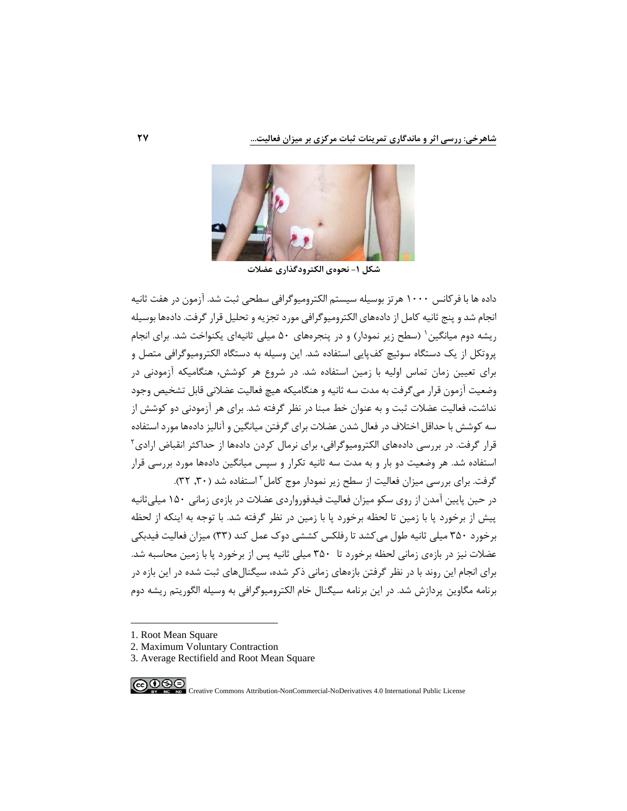

**شکل -1 نحوهی الکترودگذاری عضالت**

داده ها با فرکانس 1000 هرتز بوسیله سیستم الکترومیوگرافی سطحی ثبت شد. آزمون در هفت ثانیه انجام شد و پنج ثانیه کامل از داده های الکترومیوگرافی مورد تجزیه و تحلیل قرار گرفت. دادهها بوسیله ریشه دوم میانگین` (سطح زیر نمودار) و در پنجرههای ۵۰ میلی ثانیهای یکنواخت شد. برای انجام پروتکل از یك دستگاه سوئیچ کفپایی استفاده شد. این وسیله به دستگاه الکترومیوگرافی متصل و برای تعیین زمان تماس اولیه با زمین استفاده شد. در شروع هر کوشش، هنگامیکه آزمودنی در وضعیت آزمون قرار میگرفت به مدت سه ثانیه و هنگامیکه هیچ فعالیت عضالنی قابل تشخیص وجود نداشت، فعالیت عضالت ثبت و به عنوان خط مبنا در نظر گرفته شد. برای هر آزمودنی دو کوشش از سه کوشش با حداقل اختالف در فعال شدن عضالت برای گرفتن میانگین و آنالیز داده ها مورد استفاده <sup>2</sup> قرار گرفت. در بررسی داده های الکترومیوگرافی، برای نرمال کردن دادهها از حداکثر انقباض ارادی استفاده شد. هر وضعیت دو بار و به مدت سه ثانیه تکرار و سپس میانگین دادهها مورد بررسی قرار

گرفت. برای بررسی میزان فعالیت از سطح زیر نمودار موج کامل ؓ استفاده شد (۳۰٫۳۰). در حین پایین آمدن از روی سکو میزان فعالیت فیدفورواردی عضالت در بازهی زمانی 150 میلیثانیه پیش از برخورد پا با زمین تا لحظه برخورد پا با زمین در نظر گرفته شد. با توجه به اینکه از لحظه برخورد 350 میلی ثانیه طول میکشد تا رفلکس کششی دوک عمل کند )33( میزان فعالیت فیدبکی عضالت نیز در بازهی زمانی لحظه برخورد تا 350 میلی ثانیه پس از برخورد پا با زمین محاسبه شد. برای انجام این روند با در نظر گرفتن بازههای زمانی ذکر شده، سیگنالهای ثبت شده در این بازه در برنامه مگاوین پردازش شد. در این برنامه سیگنال خام الکترومیوگرافی به وسیله الگوریتم ریشه دوم

- 1. Root Mean Square
- 2. Maximum Voluntary Contraction
- 3. Average Rectifield and Root Mean Square

∣⊚⊕⊛⊜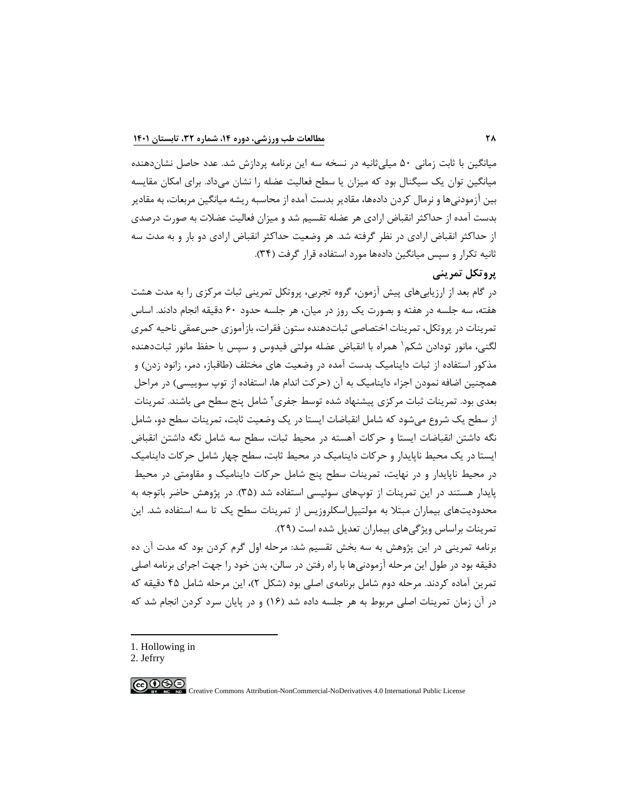میانگین با ثابت زمانی 50 میلیثانیه در نسخه سه این برنامه پردازش شد. عدد حاصل نشاندهنده میانگین توان یك سیگنال بود که میزان یا سطح فعالیت عضله را نشان میداد. برای امکان مقایسه بین آزمودنیها و نرمال کردن داده ها، مقادیر بدست آمده از محاسبه ریشه میانگین مربعات، به مقادیر بدست آمده از حداکثر انقباض ارادی هر عضله تقسیم شد و میزان فعالیت عضالت به صورت درصدی از حداکثر انقباض ارادی در نظر گرفته شد. هر وضعیت حداکثر انقباض ارادی دو بار و به مدت سه ثانیه تکرار و سپس میانگین دادهها مورد استفاده قرار گرفت (۳۴).

# **پروتکل تمرینی**

در گام بعد از ارزیابیهای پیش آزمون، گروه تجربی، پروتکل تمرینی ثبات مرکزی را به مدت هشت هفته، سه جلسه در هفته و بصورت یك روز در میان، هر جلسه حدود 60 دقیقه انجام دادند. اساس تمرینات در پروتکل، تمرینات اختصاصی ثباتدهنده ستون فقرات، بازآموزی حسعمقی ناحیه کمری لگنی، مانور تودادن شکم ۱ همراه با انقباض عضله مولتی فیدوس و سپس با حفظ مانور ثباتدهنده مذکور استفاده از ثبات داینامیک بدست آمده در وضعیت های مختلف (طاقباز، دمر، زانود زدن) و همچنین اضافه نمودن اجزاء داینامیک به آن (حرکت اندام ها، استفاده از توپ سوییسی) در مراحل بعدی بود. تمرینات ثبات مرکزی پیشنهاد شده توسط جفری<sup>۲</sup> شامل پنج سطح می باشند. تمرینات از سطح یك شروع میشود که شامل انقباضات ایستا در یك وضعیت ثابت، تمرینات سطح دو، شامل نگه داشتن انقباضات ایستا و حرکات آهسته در محیط ثبات، سطح سه شامل نگه داشتن انقباض ایستا در یك محیط ناپایدار و حرکات داینامیك در محیط ثابت، سطح چهار شامل حرکات داینامیك در محیط ناپایدار و در نهایت، تمرینات سطح پنج شامل حرکات داینامیك و مقاومتی در محیط پایدار هستند در این تمرینات از توپهای سوئیسی استفاده شد (۳۵). در پژوهش حاضر باتوجه به محدودیتهای بیماران مبتال به مولتیپل اسکلروزیس از تمرینات سطح یك تا سه استفاده شد. این تمرینات براساس ویژگیهای بیماران تعدیل شده است )29(.

برنامه تمرینی در این پژوهش به سه بخش تقسیم شد: مرحله اول گرم کردن بود که مدت آن ده دقیقه بود در طول این مرحله آزمودنیها با راه رفتن در سالن، بدن خود را جهت اجرای برنامه اصلی تمرین آماده کردند. مرحله دوم شامل برنامهی اصلی بود (شکل ۲)، این مرحله شامل ۴۵ دقیقه که در آن زمان تمرینات اصلی مربوط به هر جلسه داده شد (۱۶) و در پایان سرد کردن انجام شد که

1. Hollowing in

2. Jefrry

$$
\bigcirc \textcircled{\tiny{\textcircled{\#}}}
$$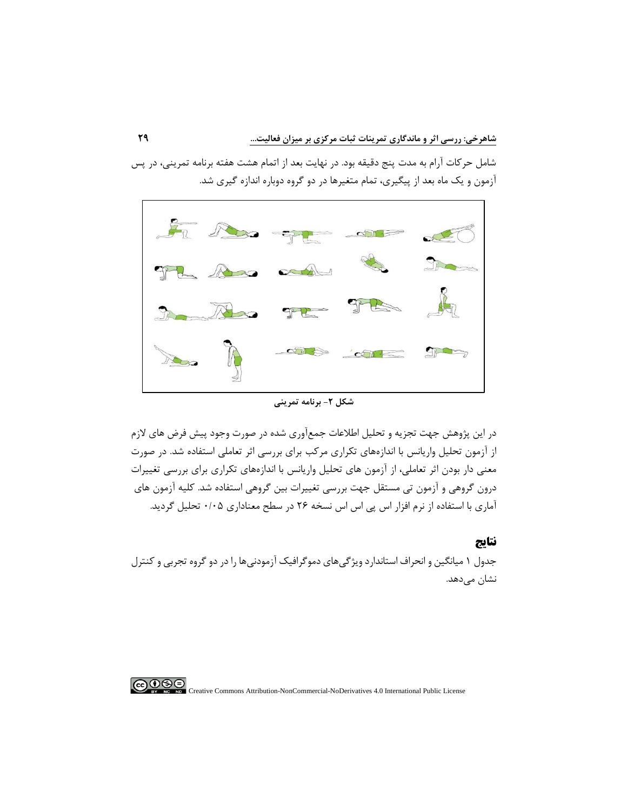شامل حرکات آرام به مدت پنج دقیقه بود. در نهایت بعد از اتمام هشت هفته برنامه تمرینی، در پس آزمون و یك ماه بعد از پیگیری، تمام متغیرها در دو گروه دوباره اندازه گیری شد.



**شکل -2 برنامه تمرینی**

در این پژوهش جهت تجزیه و تحلیل اطالعات جمعآوری شده در صورت وجود پیش فرض های الزم از آزمون تحلیل واریانس با اندازههای تکراری مرکب برای بررسی اثر تعاملی استفاده شد. در صورت معنی دار بودن اثر تعاملی، از آزمون های تحلیل واریانس با اندازههای تکراری برای بررسی تغییرات درون گروهی و آزمون تی مستقل جهت بررسی تغییرات بین گروهی استفاده شد. کلیه آزمون های آماری با استفاده از نرم افزار اس پی اس اس نسخه 26 در سطح معناداری 0/05 تحلیل گردید.

**نتایج** 

جدول 1 میانگین و انحراف استاندارد ویژگی های دموگرافیك آزمودنیها را در دو گروه تجربی و کنترل نشان می،دهد.

 $\bigcirc$  000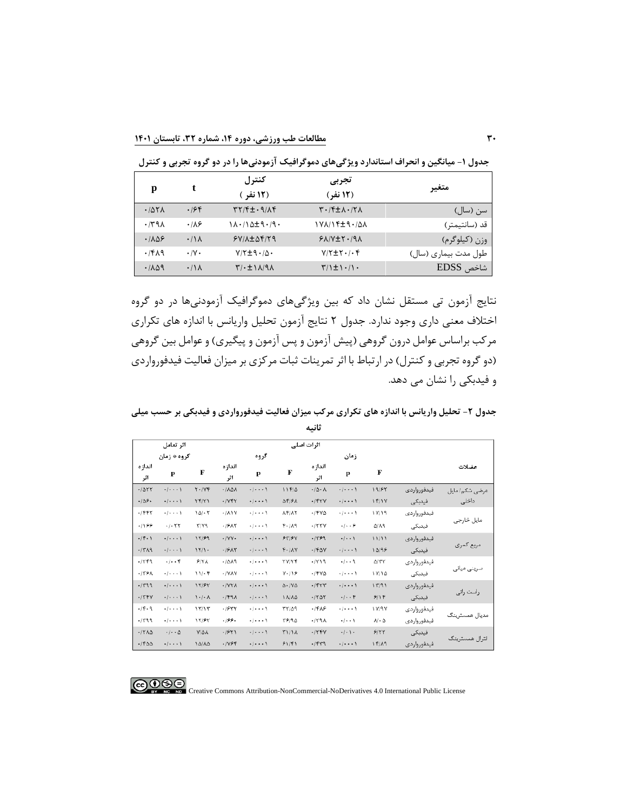**جدول -1 میانگین و انحراف استاندارد ویژگیهای دموگرافیک آزمودنی ها را در دو گروه تجربی و کنترل** 

| p     | t                | كنترل<br>(12 نفر )                                                    | تجربى<br>(12 نفر)                                                 | متغير                |
|-------|------------------|-----------------------------------------------------------------------|-------------------------------------------------------------------|----------------------|
| .787A | .198             | $\uparrow \uparrow / \uparrow \pm \cdot \uparrow / \uparrow \uparrow$ | $\mathcal{N} \cdot \mathcal{N}$ + $\mathcal{N} \cdot \mathcal{N}$ | ِسن (سال)            |
| .791  | ۱۸۶.             | $1\lambda \cdot 10$ d $\pm$ 9.19.                                     | 178714±9.788                                                      | قد (سانتيمتر)        |
| .1109 | $\cdot/\lambda$  | $Y/\lambda \pm \Delta f/Y$                                            | $YAYY+Y-19X$                                                      | وزن (کیلوگرم)        |
| .7819 | $\cdot/\Upsilon$ | $Y/\Upsilon \pm 9.4$                                                  | $Y/\Upsilon \pm \Upsilon$ ./. $\Upsilon$                          | طول مدت بیماری (سال) |
| .7109 | $\cdot/\lambda$  | $\uparrow/\uparrow \pm 1 \wedge 9 \wedge$                             | $\frac{1}{2}$                                                     | شاخص EDSS            |

نتایج آزمون تی مستقل نشان داد که بین ویژگیهای دموگرافیك آزمودنیها در دو گروه اختالف معنی داری وجود ندارد. جدول 2 نتایج آزمون تحلیل واریانس با اندازه های تکراری مرکب براساس عوامل درون گروهی (پیش آزمون و پس آزمون و پیگیری) و عوامل بین گروهی (دو گروه تجربی و کنترل) در ارتباط با اثر تمرینات ثبات مرکزی بر میزان فعالیت فیدفورواردی و فیدبکی را نشان می دهد.

**جدول -2 تحلیل واریانس با اندازه های تکراری مرکب میزان فعالیت فیدفورواردی و فیدبکی بر حسب میلی ثانیه**

|                                |                                       |                                                   |                     |                                   |                        | ┄                            |                                         |                               |             |                |
|--------------------------------|---------------------------------------|---------------------------------------------------|---------------------|-----------------------------------|------------------------|------------------------------|-----------------------------------------|-------------------------------|-------------|----------------|
|                                | اثر تعامل                             |                                                   |                     |                                   |                        | اثرات اصلي                   |                                         |                               |             |                |
|                                | گروه * زمان                           |                                                   |                     | گروه                              |                        |                              | زمان                                    |                               |             |                |
| اندازه<br>اثر                  | p                                     | F                                                 | اندازه<br>اثر       | p                                 | F                      | اندازه<br>اثر                | p                                       | F                             |             | عضلات          |
| .1057                          | $\cdot$ $\cdot$ $\cdot$ $\cdot$       | $Y \cdot / YY$                                    | ·/ AΔA              | $\cdot$ / $\cdot$ $\cdot$ \       | $11F/\Delta$           | $\cdot/\Delta \cdot \Lambda$ | $\cdot$ $\cdot$ $\cdot$ $\cdot$         | 19/85                         | فيدفورواردى | عرضي شكم/ مايل |
| .109.                          | $\cdot$ / $\cdot$ $\cdot$ )           | YF/Y1                                             | .1YFT               | $\cdot$ / $\cdot$ $\cdot$ \       | <b>AFIFA</b>           | $.$ /۴۲۷                     | $\cdot$ / $\cdot$ $\cdot$ $\cdot$       | 15/1Y                         | فيدبكي      | داخلی          |
| $-1997$                        | $\cdot$ $\cdot$ $\cdot$ $\cdot$       | $\Lambda \Delta / \cdot \Upsilon$                 | ·/۸۱۷               | $\cdot$ / $\cdot$ $\cdot$ \       | <b>AFIAY</b>           | $-14V\Delta$                 | $\cdot$ $\cdot$ $\cdot$ $\cdot$ $\cdot$ | 1 V/19                        | فيدفورواردى |                |
| $+199$                         | $-1 - YY$                             | ۳/۷٩                                              | $-19A5$             | $\cdot$ / $\cdot$ $\cdot$ \       | $F - / \Lambda$ 9      | $-1777$                      | .   9                                   | $\Delta/\Lambda$ ٩            | فيدبكى      | مایل خارجی     |
| $-(\tilde{r} \cdot \tilde{r})$ | $\cdot$ $  \cdot \cdot \cdot \rangle$ | 17/89                                             | $\cdot$ /YY $\cdot$ | $\cdot$ $\cdot$ $\cdot$ \         | 557                    | .1499                        | $\cdot$ / $\cdot$ )                     | 11/11                         | فيدفورواردى |                |
| $-1519$                        | $\cdot$ $\cdot$ $\cdot$ $\cdot$       | 1511                                              | $-19A5$             | $\cdot$ $\cdot$ $\cdot$ $\cdot$   | $F - / \Lambda V$      | $-150V$                      | $\cdot$ $ \cdot$ $\cdot$ $\cdot$        | 10/99                         | فيدبكى      | مربع كمري      |
| $-14.49$                       | $. -$                                 | 917A                                              | .7019               | $\cdot$ / $\cdot$ $\cdot$ \       | <b>YV/YF</b>           | 4719                         | $. -$                                   | $\Delta$ / $\Upsilon\Upsilon$ | فيدفورواردى |                |
| .179A                          | $\cdot$ / $\cdot$ $\cdot$ \           | 11.65                                             | ·/VAY               | $\cdot$ / $\cdot$ $\cdot$ \       | $V - I Y F$            | $-14V\Delta$                 | $\cdot$ / $\cdot$ $\cdot$ \             | 1 V/10                        | فيدبكى      | سرینی میانی    |
| $-1499$                        | $\cdot$ $\cdot$ $\cdot$ $\cdot$       | 17/۶۲                                             | · IVYA              | $\cdot$ $\cdot$ $\cdot$ \         | $\Delta$ - / $V\Delta$ | $-1557$                      | $\cdot$ $\cdot$ $\cdot$ $\cdot$         | 11791                         | فيدفورواردى |                |
| $-1544$                        | $\cdot$ / $\cdot$ $\cdot$ )           | $\mathcal{N} \cdot \mathcal{N} \cdot \mathcal{N}$ | .1991               | $\cdot$ / $\cdot$ $\cdot$ \       | <b>IN/AQ</b>           | .1507                        | $+$ $+$ + $+$                           | 9/19                          | فيدبكى      | راست راتے ِ    |
| $.$ /۴.۹                       | $\cdot$ / $\cdot$ $\cdot$ )           | 15715                                             | .1957               | $-1 - - 1$                        | <b>TY/09</b>           | ٠/۴٨۶                        | $+1 + + + 1$                            | <b>IV/9Y</b>                  | فيدفورواردى |                |
| .149                           | $\cdot$ / $\cdot$ $\cdot$ )           | 17/۶٢                                             | ۱۶۶۰.               | $\cdot$ / $\cdot$ $\cdot$ $\cdot$ | ۲۶/۹۵                  | 471.                         | $+$ $+$ $+$ $\uparrow$                  | $\mathcal{N} \cdot \Delta$    | فيدفورواردى | مدبال همسترینگ |
| $-17\lambda\Delta$             | $\cdot$ $\cdot$ $\circ$               | <b>Y/QA</b>                                       | .1951               | $\cdot$ $\cdot$ $\cdot$ $\cdot$   | <b>٣١/١٨</b>           | $-1594$                      | $\cdot$ / $\cdot$ / $\cdot$             | 9/77                          | فيدبكي      |                |
| $-(\nabla \Delta)$             | $\cdot$ $\cdot$ $\cdot$ $\cdot$       | 10/10                                             | .1997               | $\cdot$ / $\cdot$ $\cdot$ \       | 51/F1                  | $-1449$                      | $\cdot$ $\cdot$ $\cdot$ $\cdot$         | $17/\lambda$ 9                | فيدفورواردى | لترال همسترينگ |

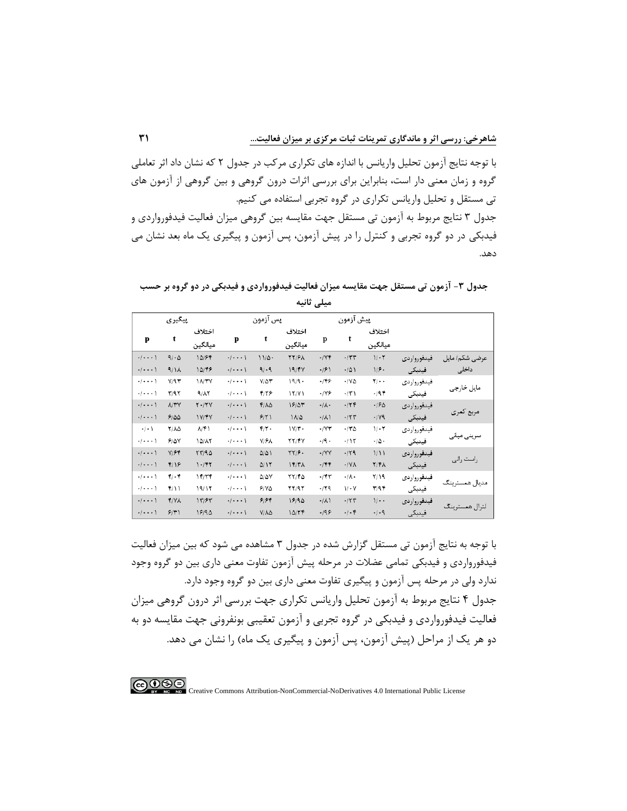با توجه نتایج آزمون تحلیل واریانس با اندازه های تکراری مرکب در جدول 2 که نشان داد اثر تعاملی گروه و زمان معنی دار است، بنابراین برای بررسی اثرات درون گروهی و بین گروهی از آزمون های تی مستقل و تحلیل واریانس تکراری در گروه تجربی استفاده می کنیم. جدول 3 نتایج مربوط به آزمون تی مستقل جهت مقایسه بین گروهی میزان فعالیت فیدفورواردی و فیدبکی در دو گروه تجربی و کنترل را در پیش آزمون، پس آزمون و پیگیری یك ماه بعد نشان می دهد.

**جدول -3 آزمون تی مستقل جهت مقایسه میزان فعالیت فیدفورواردی و فیدبکی در دو گروه بر حسب میلی ثانیه**

|                                         | پيګيري         |                   |                                         | پس آزمون                  |                   |                          | پيش آزمون       |                           |             |                |
|-----------------------------------------|----------------|-------------------|-----------------------------------------|---------------------------|-------------------|--------------------------|-----------------|---------------------------|-------------|----------------|
| p                                       | t              | اختلاف<br>ميانگين | p                                       | t                         | اختلاف<br>ميانگين | p                        | t               | اختلاف<br>ميانگين         |             |                |
| $\cdot$ $\cdot$ $\cdot$ $\cdot$ $\cdot$ | 4/20           | 10/۶٢             | $\cdot$ $\cdot$ $\cdot$ $\cdot$ $\cdot$ | 11/0.                     | <b>٢٢/۶۸</b>      | $\cdot$ /Yf              | $+/\tau\tau$    | 1/1                       | فيدفورواردي | عرضى شكم/ مايل |
| $+$ $+$ $+$ $+$ $+$                     | 9/1A           | 10/48             | $+$ $+$ $+$ $+$ $+$                     | 9/19                      | 19/FV             | $\cdot$ /۶)              | $+/\Delta$      | $1/f$ .                   | فينبكى      | داخلى          |
| $+$ $+$ $+$ $+$ $+$                     | V/9V           | <b>IA/۳Y</b>      | $\cdot$ / $\cdot$ $\cdot$ \             | $Y/\Delta Y$              | 19/9              | $-199$                   | $\cdot$ /YA     | $\overline{\mathbf{y}}$ . | فيدفورواردي |                |
| $+1$                                    | $\Upsilon/9.7$ | 9/17              | $\cdot$ $\cdot$ $\cdot$ $\cdot$ $\cdot$ | ۴/۲۶                      | 17/Y1             | $-149$                   | $+ \Upsilon $   | $-195$                    | فينبكى      | مایل خارجی     |
| $+$ $+ + +$                             | <b>NYY</b>     | $Y - YY$          | $\cdot/\cdot\cdot\cdot$                 | $Y/\lambda\Delta$         | 18/05             | $\cdot/\lambda$          | $-155$          | .190                      | فيدفورواردي |                |
| $\cdot$ $\cdot$ $\cdot$ $\cdot$ $\cdot$ | 9100           | <b>IVIFY</b>      | $\cdot$ $\cdot$ $\cdot$ $\cdot$ $\cdot$ | 9/7                       | 11/2              | $\cdot/\lambda$          | $+$ /٢٣         | $\cdot$ /Y9               | فيدبكي      | مربع کمری      |
| $+/-$                                   | <b>Y/AQ</b>    | ۸۴۱               | $+$ $+$ $+$ $+$ $+$                     | $\mathbf{r}/\mathbf{r}$ . | 1V/T              | $\cdot$ / $\forall \tau$ | $-170$          | $V \cdot Y$               | فيدفورواردي |                |
| $+$ $+$ $+$ $+$ $+$                     | 910V           | 10/17             | $+$ $+$ $+$ $+$ $+$                     | <b>Y/FA</b>               | <b>٢٢/۴٧</b>      | $\cdot$ /9 $\cdot$       | $+$ /1٢         | $\cdot/\Delta$ .          | فينبكى      | سرینی میانی    |
| $\cdot$ / $\cdot$ $\cdot$ \             | Y/Ff           | YY/90             | $\cdot$ $\cdot$ $\cdot$ $\cdot$ $\cdot$ | $\Delta/\Delta$           | $\frac{1}{2}$     | $\cdot$ /YY              | .79             | 1/11                      | فيدفورواردي |                |
| $+$ $+$ $+$ $+$ $+$                     | F/19           | $1 - 187$         | $+$ $+$ $+$ $+$ $+$                     | $\Delta/17$               | 17/T              | .777                     | $\cdot$ /YA     | Y/Y                       | فينبكي      | , است , انی    |
| $\cdot$ $\cdot$ $\cdot$ $\cdot$ $\cdot$ | $Y/\cdot Y$    | 17/77             | $+$ $+$ $+$ $+$ $+$                     | $\Delta/\Delta V$         | YY/FA             | $+/\uparrow \uparrow$    | $\cdot/\lambda$ | Y/19                      | فيدفورواردي | مدیال همسترینگ |
| $+1$                                    | T/11           | 19/17             | $+$ $+$ $+$ $+$ $+$                     | $51Y\Delta$               | YY/9Y             | .179                     | $V - V$         | $\mathbf{r}/\mathbf{q}$   | فينبكي      |                |
| $+$ $+$ $+$ $+$                         | <b>T/YA</b>    | 1777              | $\cdot$ $\cdot$ $\cdot$ $\cdot$         | 9198                      | 19/90             | $\cdot/\lambda$          | $-154$          | $\mathcal{V}$ .           | فيدفورواردي |                |
| $+$ $+ + +$                             | 5/1)           | 19/90             | $\cdot$ $ \cdot$ $\cdot$ $\rangle$      | $V/\Lambda\Delta$         | 10/77             | $-199$                   | $-1.5$          | $+1.9$                    | فيدبكي      | لترال همسترينگ |

با توجه به نتایج آزمون تی مستقل گزارش شده در جدول 3 مشاهده می شود که بین میزان فعالیت فیدفورواردی و فیدبکی تمامی عضالت در مرحله پیش آزمون تفاوت معنی داری بین دو گروه وجود ندارد ولی در مرحله پس آزمون و پیگیری تفاوت معنی داری بین دو گروه وجود دارد. جدول ۴ نتایج مربوط به آزمون تحلیل واریانس تکراری جهت بررسی اثر درون گروهی میزان فعالیت فیدفورواردی و فیدبکی در گروه تجربی و آزمون تعقیبی بونفرونی جهت مقایسه دو به دو هر یک از مراحل (پیش آزمون، پس آزمون و پیگیری یک ماه) را نشان می دهد.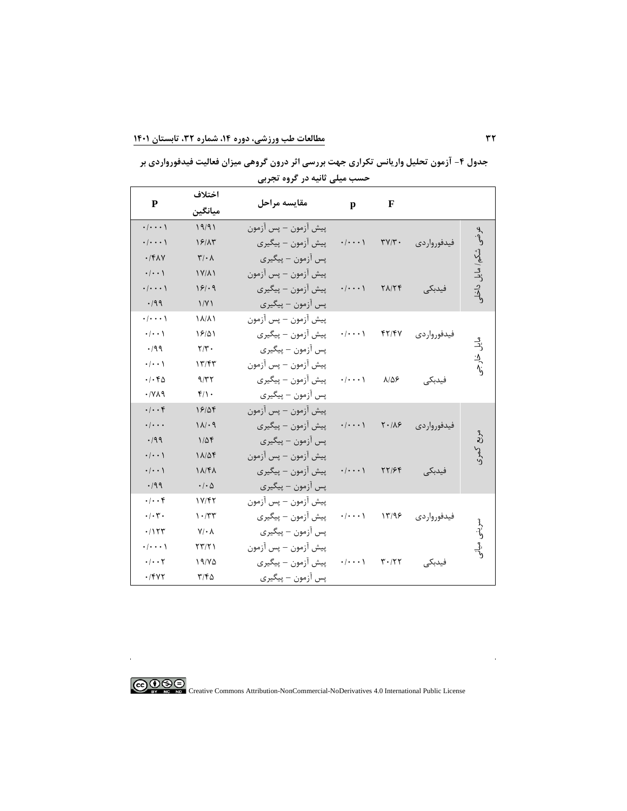**جدول -4 آزمون تحلیل واریانس تکراری جهت بررسی اثر درون گروهی میزان فعالیت فیدفورواردی بر حسب میلی ثانیه در گروه تجربی**

|                                       | اختلاف                        |                      |                                       |                                      |               |                 |
|---------------------------------------|-------------------------------|----------------------|---------------------------------------|--------------------------------------|---------------|-----------------|
| ${\bf P}$                             | ميانگين                       | مقايسه مراحل         | $\mathbf{p}$                          | $\mathbf F$                          |               |                 |
| $\cdot$ / $\cdot$ $\cdot$ \           | 19/91                         | پيش آزمون – پس آزمون |                                       |                                      |               |                 |
| $\cdot$ / $\cdot$ $\cdot$ $\cdot$     | 19/15                         | پیش آزمون – پیگیری   | $\cdot/\cdot\cdot\cdot$               | $\mathbf{r} \mathbf{v}/\mathbf{r}$ . | فیدفور وار دی | عرضى            |
| $.$ /۴۸۷                              | $\mathbf{Y}/\cdot \mathbf{A}$ | پس آزمون – پیگیری    |                                       |                                      |               |                 |
| $\cdot$ / $\cdot$ \                   | $1Y/\lambda$                  | پيش آزمون – پس آزمون |                                       |                                      |               | شكم/ مايل داخلو |
| $\cdot$ / $\cdot$ $\cdot$ $\cdot$     | 19/09                         | پیش آزمون – پیگیری   | ・/・・・ \                               | $Y\Lambda/Y$                         | فيدبكى        |                 |
| $\cdot$ /99                           | 1/Y                           | پس آزمون – پیگیری    |                                       |                                      |               |                 |
| $\cdot$ / $\cdot$ $\cdot$ \           | <b>IA/A)</b>                  | پيش آزمون – پس آزمون |                                       |                                      |               |                 |
| $\cdot$ / $\cdot$ )                   | 19/01                         | پیش آزمون – پیگیری   | $\cdot/\cdot\cdot\cdot$ )             | $f\uparrow/f\uparrow$                | فيدفورواردى   |                 |
| .199                                  | $\mathbf{Y}/\mathbf{Y}$ .     | پس آزمون – پیگیری    |                                       |                                      |               | و<br>ڏ          |
| $\cdot$ / $\cdot$ \                   | ۱۳/۴۳                         | پيش آزمون – پس آزمون |                                       |                                      |               | خارجى           |
| .1.40                                 | 9/77                          | پیش آزمون – پیگیری   | $\cdot/\cdot\cdot\cdot$ )             | $\lambda/\Delta$ ۶                   | فيدبكى        |                 |
| .141                                  | $f/\prime$ .                  | پس أزمون – پيگيري    |                                       |                                      |               |                 |
| .  . .                                | 18/04                         | پيش آزمون – پس آزمون |                                       |                                      |               |                 |
| $\cdot$ / $\cdot$ .                   | 11/19                         | پیش آزمون – پیگیری   | $\cdot$ / $\cdot$ $\cdot$ $\setminus$ | $Y \cdot / \Lambda$ ۶                | فيدفورواردي   |                 |
| .199                                  | $1/\Delta f$                  | پس آزمون – پیگیری    |                                       |                                      |               | $\frac{1}{2}$   |
| $\cdot$ / $\cdot$ )                   | 11/04                         | پيش آزمون – پس آزمون |                                       |                                      |               | کموی            |
| $\cdot$ / $\cdot$ \                   | $1\lambda$ /۴ $\lambda$       | پیش آزمون – پیگیری   | ・/・・・ \                               | 77194                                | فيدبكى        |                 |
| .199                                  | $\cdot$ / $\cdot$ $\Delta$    | پس آزمون – پیگیری    |                                       |                                      |               |                 |
| .  . .                                | 1Y/FY                         | پيش آزمون – پس آزمون |                                       |                                      |               |                 |
| $\cdot/\cdot7$ .                      | $1 - TT$                      | پیش آزمون – پیگیری   | $\cdot$ / $\cdot$ $\cdot$ $\setminus$ | 17/99                                | فيدفورواردى   |                 |
| .1157                                 | $V/\cdot \Lambda$             | پس آزمون – پیگیری    |                                       |                                      |               | لم<br>ولا       |
| $\cdot$ / $\cdot$ $\cdot$ $\setminus$ | ۲۳/۲۱                         | پيش أزمون – پس أزمون |                                       |                                      |               | $\frac{3}{2}$   |
| $\cdot$ / $\cdot$ $\cdot$ $\cdot$     | ۱۹/۷۵                         | پیش آزمون – پیگیری   | ۰/۰۰۰۱                                | $\mathbf{r} \cdot \mathbf{r}$        | فيدبكى        |                 |
| .7947                                 | $T/f_0$                       | پس آزمون – پیگیری    |                                       |                                      |               |                 |

COOSO Creative Commons Attribution-NonCommercial-NoDerivatives 4.0 International Public License

 $\bar{a}$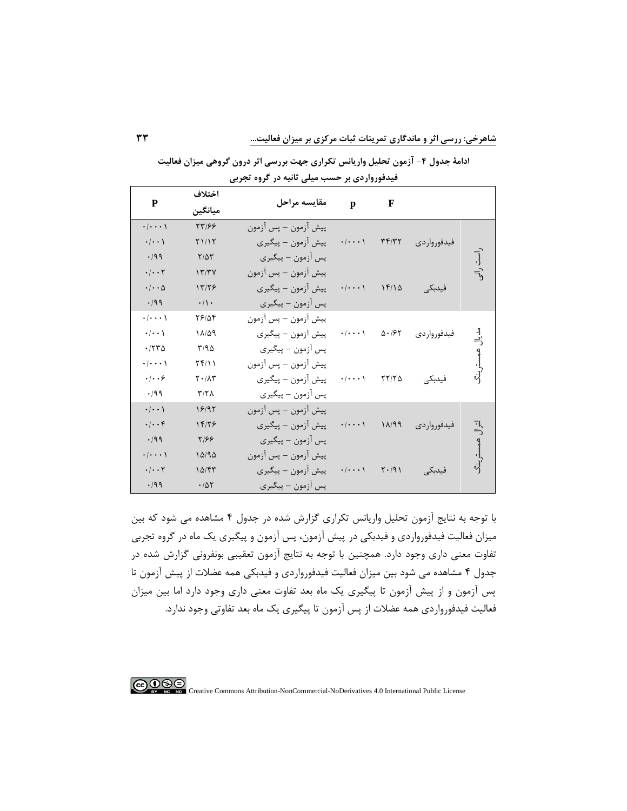| ${\bf P}$                         | اختلاف                | مقايسه مراحل         |                             | F                  |               |          |
|-----------------------------------|-----------------------|----------------------|-----------------------------|--------------------|---------------|----------|
|                                   | ميانگين               |                      | p                           |                    |               |          |
| $\cdot/\cdot\cdot\cdot$           | 77199                 | پيش آزمون – پس آزمون |                             |                    |               |          |
| $\cdot/\cdot\cdot$                | Y1/17                 | پیش آزمون – پیگیری   | $\cdot$ / $\cdot$ $\cdot$ \ | Tf/T               | فيدفور واردى  |          |
| .199                              | $Y/\Delta Y$          | پس اُزمون – پیگیری   |                             |                    |               |          |
| $\cdot$ / $\cdot$ $\cdot$ $\cdot$ | 17/TV                 | پيش أزمون – پس آزمون |                             |                    |               | است رانی |
| $\cdot$ / $\cdot$ $\Delta$        | 17/79                 | پیش آزمون – پیگیری   | $\cdot/\cdot\cdot\cdot$     | 15/10              | فيدبكى        |          |
| .199                              | $\cdot/\cdot$         | پس اُزمون – پیگیری   |                             |                    |               |          |
| $\cdot/\cdot\cdot\cdot$           | 78184                 | پيش آزمون – پس آزمون |                             |                    |               |          |
| $\cdot$ / $\cdot$ )               | 11/09                 | پیش آزمون – پیگیری   | $\cdot$ / $\cdot$ $\cdot$ \ | $\Delta \cdot 195$ | فيدفورواردى   | بر<br>آڪ |
| .7770                             | T/90                  | پس آزمون – پیگیری    |                             |                    |               |          |
| $\cdot/\cdot\cdot\cdot$           | $Yf/\mathcal{V}$      | پيش آزمون – پس آزمون |                             |                    |               |          |
| $\cdot$ $ \cdot$ $\cdot$ $\circ$  | $Y \cdot / \Lambda Y$ | پیش آزمون – پیگیری   | $\cdot/\cdot\cdot\cdot$     | YY/Y               | فيدبكي        |          |
| .199                              | Y/Y                   | پس أزمون – پيگيري    |                             |                    |               |          |
| $\cdot/\cdot\cdot$                | 18195                 | پيش آزمون – پس آزمون |                             |                    |               |          |
| $\cdot/\cdot\cdot$ ۴              | 18/79                 | پیش آزمون – پیگیری   | $\cdot/\cdot\cdot\cdot$     | 11/99              | فیدفور وار دی | 马        |
| .199                              | Y/55                  | پس آزمون – پیگیری    |                             |                    |               |          |
| $\cdot/\cdot\cdot\cdot$           | 10/90                 | پيش آزمون – پس آزمون |                             |                    |               |          |
| $\cdot$ / $\cdot$ $\cdot$ $\cdot$ | 10/FT                 | پیش آزمون – پیگیری   | $\cdot/\cdot\cdot\cdot$ )   | $Y \cdot / 91$     | فيدبكي        |          |
| .199                              | .705                  | پس أزمون – پيگيري    |                             |                    |               |          |

**ادامة جدول -4 آزمون تحلیل واریانس تکراری جهت بررسی اثر درون گروهی میزان فعالیت فیدفورواردی بر حسب میلی ثانیه در گروه تجربی**

با توجه به نتایج آزمون تحلیل واریانس تکراری گزارش شده در جدول 4 مشاهده می شود که بین میزان فعالیت فیدفورواردی و فیدبکی در پیش آزمون، پس آزمون و پیگیری یك ماه در گروه تجربی تفاوت معنی داری وجود دارد. همچنین با توجه به نتایج آزمون تعقیبی بونفرونی گزارش شده در جدول 4 مشاهده می شود بین میزان فعالیت فیدفورواردی و فیدبکی همه عضالت از پیش آزمون تا پس آزمون و از پیش آزمون تا پیگیری یك ماه بعد تفاوت معنی داری وجود دارد اما بین میزان فعالیت فیدفورواردی همه عضالت از پس آزمون تا پیگیری یك ماه بعد تفاوتی وجود ندارد.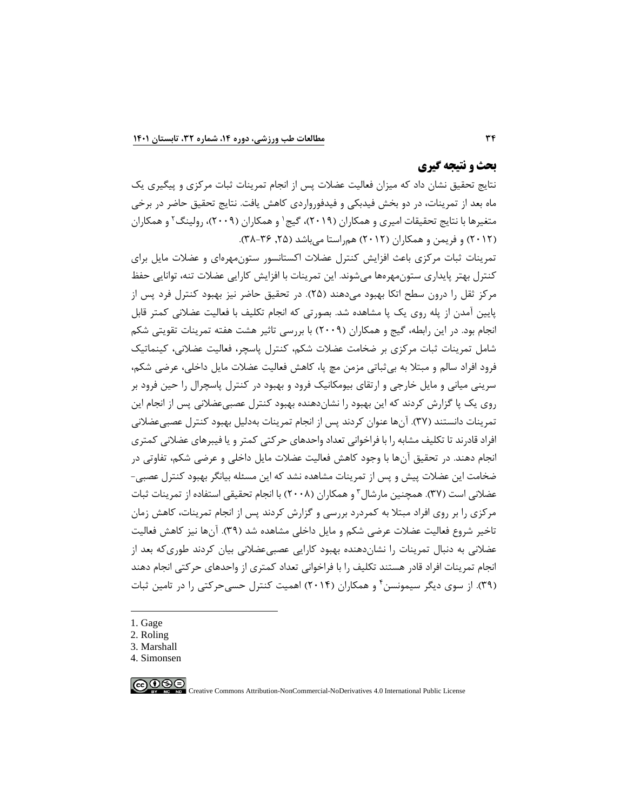## **بحث و نتیجه گیری**

نتایج تحقیق نشان داد که میزان فعالیت عضالت پس از انجام تمرینات ثبات مرکزی و پیگیری یك ماه بعد از تمرینات، در دو بخش فیدبکی و فیدفورواردی کاهش یافت. نتایج تحقیق حاضر در برخی متغیرها با نتایج تحقیقات امیری و همکاران (۲۰۱۹)، گیج ٰ و همکاران (۲۰۰۹)، رولینگ ٔ و همکاران (۲۰۱۲) و فریمن و همکاران (۲۰۱۲) همراستا میباشد (۲۵, ۳۶–۳۸).

تمرینات ثبات مرکزی باعث افزایش کنترل عضالت اکستانسور ستونمهرهای و عضالت مایل برای کنترل بهتر پایداری ستونمهرهها میشوند. این تمرینات با افزایش کارایی عضالت تنه، توانایی حفظ مرکز ثقل را درون سطح اتکا بهبود می دهند (۲۵). در تحقیق حاضر نیز بهبود کنترل فرد پس از پایین آمدن از پله روی یك پا مشاهده شد. بصورتی که انجام تکلیف با فعالیت عضالنی کمتر قابل انجام بود. در این رابطه، گیج و همکاران )2009( با بررسی تاثیر هشت هفته تمرینات تقویتی شکم شامل تمرینات ثبات مرکزی بر ضخامت عضالت شکم، کنترل پاسچر، فعالیت عضالنی، کینماتیك فرود افراد سالم و مبتال به بیثباتی مزمن مچ پا، کاهش فعالیت عضالت مایل داخلی، عرضی شکم، سرینی میانی و مایل خارجی و ارتقای بیومکانیك فرود و بهبود در کنترل پاسچرال را حین فرود بر روی یك پا گزارش کردند که این بهبود را نشاندهنده بهبود کنترل عصبیعضالنی پس از انجام این تمرینات دانستند (۳۷). آنها عنوان کردند پس از انجام تمرینات بهدلیل بهبود کنترل عصبی عضلانی افراد قادرند تا تکلیف مشابه را با فراخوانی تعداد واحدهای حرکتی کمتر و یا فیبرهای عضالنی کمتری انجام دهند. در تحقیق آنها با وجود کاهش فعالیت عضالت مایل داخلی و عرضی شکم، تفاوتی در ضخامت این عضالت پیش و پس از تمرینات مشاهده نشد که این مسئله بیانگر بهبود کنترل عصبی- عضلانی است (۳۷). همچنین مارشال ّ و همکاران (۲۰۰۸) با انجام تحقیقی استفاده از تمرینات ثبات مرکزی را بر روی افراد مبتال به کمردرد بررسی و گزارش کردند پس از انجام تمرینات، کاهش زمان تاخیر شروع فعالیت عضالت عرضی شکم و مایل داخلی مشاهده شد )39(. آنها نیز کاهش فعالیت عضالنی به دنبال تمرینات را نشاندهنده بهبود کارایی عصبی عضالنی بیان کردند طوریکه بعد از انجام تمرینات افراد قادر هستند تکلیف را با فراخوانی تعداد کمتری از واحدهای حرکتی انجام دهند (۳۹). از سوی دیگر سیمونسن ٔ و همکاران (۲۰۱۴) اهمیت کنترل حسیحرکتی را در تامین ثبات

- 1. Gage
- 2. Roling
- 3. Marshall
- 4. Simonsen

 $\bigcirc$  090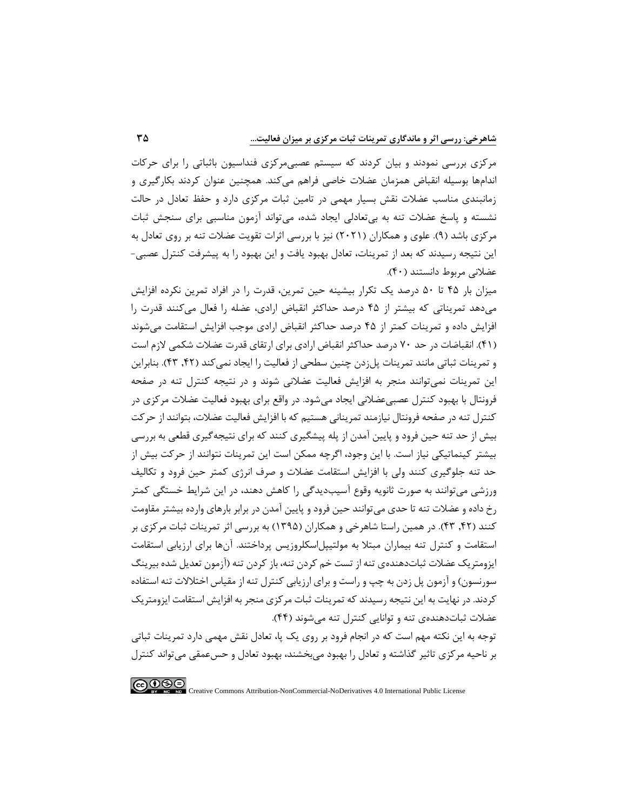مرکزی بررسی نمودند و بیان کردند که سیستم عصبیمرکزی فنداسیون باثباتی را برای حرکات اندامها بوسیله انقباض همزمان عضلات خاصی فراهم میکند. همچنین عنوان کردند بکارگیری و زمانبندی مناسب عضالت نقش بسیار مهمی در تامین ثبات مرکزی دارد و حفظ تعادل در حالت نشسته و پاسخ عضالت تنه به بیتعادلی ایجاد شده، میتواند آزمون مناسبی برای سنجش ثبات مرکزی باشد (۹). علوی و همکاران (۲۰۲۱) نیز با بررسی اثرات تقویت عضلات تنه بر روی تعادل به این نتیجه رسیدند که بعد از تمرینات، تعادل بهبود یافت و این بهبود را به پیشرفت کنترل عصبی- عضلانی مربوط دانستند (۴۰).

میزان بار 45 تا 50 درصد یك تکرار بیشینه حین تمرین، قدرت را در افراد تمرین نکرده افزایش میدهد تمریناتی که بیشتر از 45 درصد حداکثر انقباض ارادی، عضله را فعال میکنند قدرت را افزایش داده و تمرینات کمتر از 45 درصد حداکثر انقباض ارادی موجب افزایش استقامت میشوند )41(. انقباضات در حد 70 درصد حداکثر انقباض ارادی برای ارتقای قدرت عضالت شکمی الزم است و تمرینات ثباتی مانند تمرینات پلزدن چنین سطحی از فعالیت را ایجاد نمی کند ),42 43(. بنابراین این تمرینات نمیتوانند منجر به افزایش فعالیت عضالنی شوند و در نتیجه کنترل تنه در صفحه فرونتال با بهبود کنترل عصبیعضالنی ایجاد میشود. در واقع برای بهبود فعالیت عضالت مرکزی در کنترل تنه در صفحه فرونتال نیازمند تمرینانی هستیم که با افزایش فعالیت عضالت، بتوانند از حرکت بیش از حد تنه حین فرود و پایین آمدن از پله پیشگیری کنند که برای نتیجهگیری قطعی به بررسی بیشتر کینماتیکی نیاز است. با این وجود، اگرچه ممکن است این تمرینات نتوانند از حرکت بیش از حد تنه جلوگیری کنند ولی با افزایش استقامت عضالت و صرف انرژی کمتر حین فرود و تکالیف ورزشی میتوانند به صورت ثانویه وقوع آسیبدیدگی را کاهش دهند، در این شرایط خستگی کمتر رخ داده و عضالت تنه تا حدی می توانند حین فرود و پایین آمدن در برابر بارهای وارده بیشتر مقاومت کنند (۴۲, ۴۲). در همین راستا شاهرخی و همکاران (۱۳۹۵) به بررسی اثر تمرینات ثبات مرکزی بر استقامت و کنترل تنه بیماران مبتال به مولتیپلاسکلروزیس پرداختند. آنها برای ارزیابی استقامت ایزومتریک عضلات ثباتدهندهی تنه از تست خم کردن تنه، باز کردن تنه (آزمون تعدیل شده بیرینگ سورنسون) و آزمون پل زدن به چپ و راست و برای ارزیابی کنترل تنه از مقیاس اختلالات تنه استفاده کردند. در نهایت به این نتیجه رسیدند که تمرینات ثبات مرکزی منجر به افزایش استقامت ایزومتریك عضالت ثباتدهندهی تنه و توانایی کنترل تنه میشوند )44(. توجه به این نکته مهم است که در انجام فرود بر روی یك پا، تعادل نقش مهمی دارد تمرینات ثباتی

بر ناحیه مرکزی تاثیر گذاشته و تعادل را بهبود میبخشند، بهبود تعادل و حسعمقی میتواند کنترل

 $\bigodot \limits_{\tiny{\begin{array}{l} \mathfrak{S} \end{array}}\mathfrak{S} \end{array}}$ Creative Commons Attribution-NonCommercial-NoDerivatives 4.0 International Public License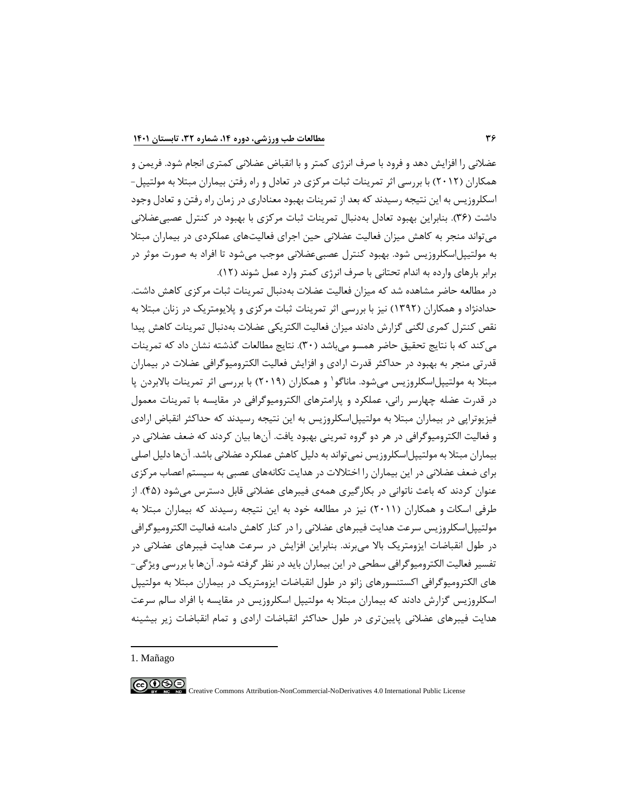عضالنی را افزایش دهد و فرود با صرف انرژی کمتر و با انقباض عضالنی کمتری انجام شود. فریمن و همکاران )2012( با بررسی اثر تمرینات ثبات مرکزی در تعادل و راه رفتن بیماران مبتال به مولتیپل- اسکلروزیس به این نتیجه رسیدند که بعد از تمرینات بهبود معناداری در زمان راه رفتن و تعادل وجود داشت )36(. بنابراین بهبود تعادل بهدنبال تمرینات ثبات مرکزی با بهبود در کنترل عصبیعضالنی میتواند منجر به کاهش میزان فعالیت عضالنی حین اجرای فعالیتهای عملکردی در بیماران مبتال به مولتیپلاسکلروزیس شود. بهبود کنترل عصبیعضالنی موجب میشود تا افراد به صورت موثر در برابر بارهای وارده به اندام تحتانی با صرف انرژی کمتر وارد عمل شوند )12(.

در مطالعه حاضر مشاهده شد که میزان فعالیت عضالت بهدنبال تمرینات ثبات مرکزی کاهش داشت. حدادنژاد و همکاران )1392( نیز با بررسی اثر تمرینات ثبات مرکزی و پالیومتریك در زنان مبتال به نقص کنترل کمری لگنی گزارش دادند میزان فعالیت الکتریکی عضالت بهدنبال تمرینات کاهش پیدا میکند که با نتایج تحقیق حاضر همسو میباشد )30(. نتایج مطالعات گذشته نشان داد که تمرینات قدرتی منجر به بهبود در حداکثر قدرت ارادی و افزایش فعالیت الکترومیوگرافی عضالت در بیماران مبتلا به مولتیپل|سکلروزیس میشود. ماناگو ٰ و همکاران (۲۰۱۹) با بررسی اثر تمرینات بالابردن پا در قدرت عضله چهارسر رانی، عملکرد و پارامترهای الکترومیوگرافی در مقایسه با تمرینات معمول فیزیوتراپی در بیماران مبتال به مولتیپلاسکلروزیس به این نتیجه رسیدند که حداکثر انقباض ارادی و فعالیت الکترومیوگرافی در هر دو گروه تمرینی بهبود یافت. آنها بیان کردند که ضعف عضالنی در بیماران مبتلا به مولتیپل|سکلروزیس نمی تواند به دلیل کاهش عملکرد عضلانی باشد. آنها دلیل اصلی برای ضعف عضالنی در این بیماران را اختالالت در هدایت تکانههای عصبی به سیستم اعصاب مرکزی عنوان کردند که باعث ناتوانی در بکارگیری همهی فیبرهای عضالنی قابل دسترس میشود )45(. از طرفی اسکات و همکاران (۲۰۱۱) نیز در مطالعه خود به این نتیجه رسیدند که بیماران مبتلا به مولتیپل|سکلروزیس سرعت هدایت فیبرهای عضلانی را در کنار کاهش دامنه فعالیت الکترومیوگرافی در طول انقباضات ایزومتریك باال میبرند. بنابراین افزایش در سرعت هدایت فیبرهای عضالنی در تفسیر فعالیت الکترومیوگرافی سطحی در این بیماران باید در نظر گرفته شود. آنها با بررسی ویژگی- های الکترومیوگرافی اکستنسورهای زانو در طول انقباضات ایزومتریك در بیماران مبتال به مولتیپل اسکلروزیس گزارش دادند که بیماران مبتال به مولتیپل اسکلروزیس در مقایسه با افراد سالم سرعت هدایت فیبرهای عضالنی پایینتری در طول حداکثر انقباضات ارادی و تمام انقباضات زیر بیشینه

1. Mañago

 $\bigcirc$   $\bigcirc$   $\circ$ Creative Commons Attribution-NonCommercial-NoDerivatives 4.0 International Public License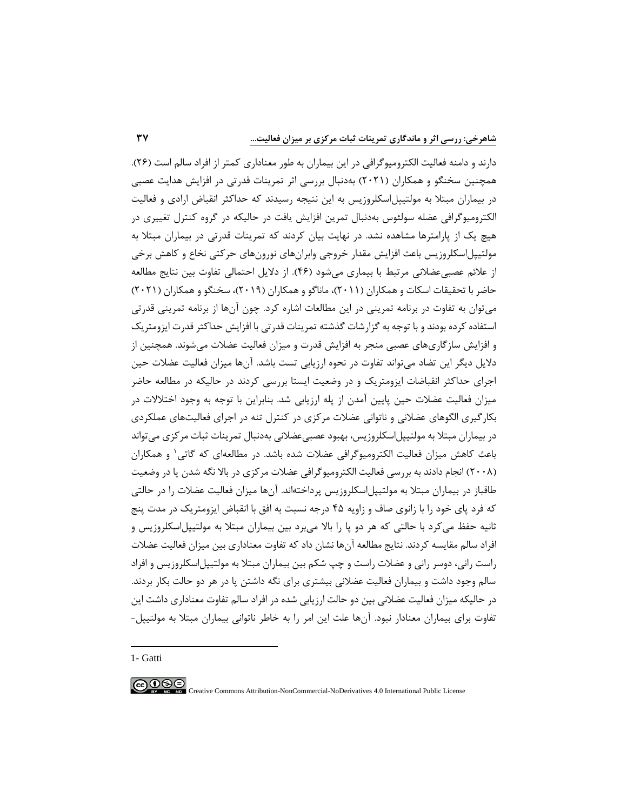دارند و دامنه فعالیت الکترومیوگرافی در این بیماران به طور معناداری کمتر از افراد سالم است )26( . همچنین سخنگو و همکاران )2021( بهدنبال بررسی اثر تمرینات قدرتی در افزایش هدایت عصبی در بیماران مبتال به مولتیپلاسکلروزیس به این نتیجه رسیدند که حداکثر انقباض ارادی و فعالیت الکترومیوگرافی عضله سولئوس به دنبال تمرین افزایش یافت در حالیکه در گروه کنترل تغییری در هیچ یك از پارامترها مشاهده نشد. در نهایت بیان کردند که تمرینات قدرتی در بیماران مبتال به مولتیپلاسکلروزیس باعث افزایش مقدار خروجی وابرانهای نورونهای حرکتی نخاع و کاهش برخی از علائم عصبی عضلانی مرتبط با بیماری می شود (۴۶). از دلایل احتمالی تفاوت بین نتایج مطالعه حاضر با تحقیقات اسکات و همکاران (۲۰۱۱)، ماناگو و همکاران (۲۰۱۹)، سخنگو و همکاران (۲۰۲۱) میتوان به تفاوت در برنامه تمرینی در این مطالعات اشاره کرد. چون آنها از برنامه تمرینی قدرتی استفاده کرده بودند و با توجه به گزارشات گذشته تمرینات قدرتی با افزایش حداکثر قدرت ایزومتریك و افزایش سازگاریهای عصبی منجر به افزایش قدرت و میزان فعالیت عضالت میشوند. همچنین از دالیل دیگر این تضاد میتواند تفاوت در نحوه ارزیابی تست باشد. آنها میزان فعالیت عضالت حین اجرای حداکثر انقباضات ایزومتریك و در وضعیت ایستا بررسی کردند در حالیکه در مطالعه حاضر میزان فعالیت عضالت حین پایین آمدن از پله ارزیابی شد. بنابراین با توجه به وجود اختالالت در بکارگیری الگوهای عضالنی و ناتوانی عضالت مرکزی در کنترل تنه در اجرای فعالیتهای عملکردی در بیماران مبتال به مولتیپلاسکلروزیس، بهبود عصبی عضالنی بهدنبال تمرینات ثبات مرکزی میتواند <sup>1</sup> باعث کاهش میزان فعالیت الکترومیوگرافی عضالت شده باشد. در مطالعهای که گاتی و همکاران )2008( انجام دادند به بررسی فعالیت الکترومیوگرافی عضالت مرکزی در باال نگه شدن پا در وضعیت طاقباز در بیماران مبتال به مولتیپلاسکلروزیس پرداخته اند. آنها میزان فعالیت عضالت را در حالتی که فرد پای خود را با زانوی صاف و زاویه 45 درجه نسبت به افق با انقباض ایزومتریك در مدت پنج ثانیه حفظ میکرد با حالتی که هر دو پا را باال میبرد بین بیماران مبتال به مولتیپلاسکلروزیس و افراد سالم مقایسه کردند. نتایج مطالعه آنها نشان داد که تفاوت معناداری بین میزان فعالیت عضالت راست رانی، دوسر رانی و عضالت راست و چپ شکم بین بیماران مبتال به مولتیپلاسکلروزیس و افراد سالم وجود داشت و بیماران فعالیت عضالنی بیشتری برای نگه داشتن پا در هر دو حالت بکار بردند. در حالیکه میزان فعالیت عضالنی بین دو حالت ارزیابی شده در افراد سالم تفاوت معناداری داشت این تفاوت برای بیماران معنادار نبود. آنها علت این امر را به خاطر ناتوانی بیماران مبتال به مولتیپل-

1- Gatti

 $\bigcirc$   $\bigcirc$   $\bigcirc$ Creative Commons Attribution-NonCommercial-NoDerivatives 4.0 International Public License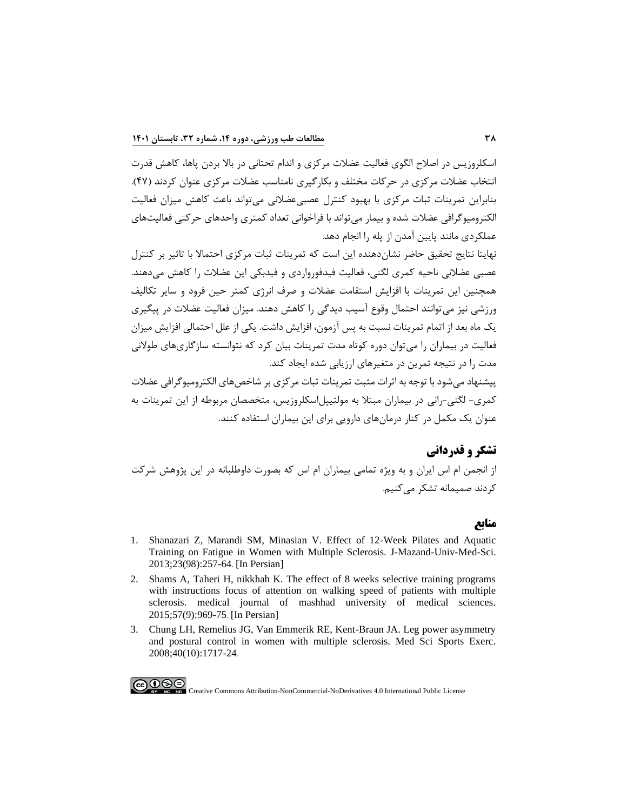اسکلروزیس در اصالح الگوی فعالیت عضالت مرکزی و اندام تحتانی در باال بردن پاها، کاهش قدرت انتخاب عضالت مرکزی در حرکات مختلف و بکارگیری نامناسب عضالت مرکزی عنوان کردند )47(. بنابراین تمرینات ثبات مرکزی با بهبود کنترل عصبیعضالنی میتواند باعث کاهش میزان فعالیت الکترومیوگرافی عضالت شده و بیمار میتواند با فراخوانی تعداد کمتری واحدهای حرکتی فعالیتهای عملکردی مانند پایین آمدن از پله را انجام دهد.

نهایتا نتایج تحقیق حاضر نشاندهنده این است که تمرینات ثبات مرکزی احتماال با تاثیر بر کنترل عصبی عضالنی ناحیه کمری لگنی، فعالیت فیدفورواردی و فیدبکی این عضالت را کاهش می دهند. همچنین این تمرینات با افزایش استقامت عضالت و صرف انرژی کمتر حین فرود و سایر تکالیف ورزشی نیز میتوانند احتمال وقوع آسیب دیدگی را کاهش دهند. میزان فعالیت عضالت در پیگیری یك ماه بعد از اتمام تمرینات نسبت به پس آزمون، افزایش داشت. یکی از علل احتمالی افزایش میزان فعالیت در بیماران را میتوان دوره کوتاه مدت تمرینات بیان کرد که نتوانسته سازگاریهای طوالنی مدت را در نتیجه تمرین در متغیرهای ارزیابی شده ایجاد کند.

پیشنهاد میشود با توجه به اثرات مثبت تمرینات ثبات مرکزی بر شاخصهای الکترومیوگرافی عضالت کمری- لگنی-رانی در بیماران مبتال به مولتیپلاسکلروزیس، متخصصان مربوطه از این تمرینات به عنوان یك مکمل در کنار درمانهای دارویی برای این بیماران استفاده کنند.

# **تشکر و قدردانی**

از انجمن ام اس ایران و به ویژه تمامی بیماران ام اس که بصورت داوطلبانه در این پژوهش شرکت کردند صمیمانه تشکر می کنیم.

## **منابع**

- 1. [Shanazari Z, Marandi SM, Minasian V. Effect of 12-Week Pilates and Aquatic](http://jmums.mazums.ac.ir/article-1-1925-en.html)  [Training on Fatigue in Women with Multiple Sclerosis. J-Mazand-Univ-Med-Sci.](http://jmums.mazums.ac.ir/article-1-1925-en.html)  [2013;23\(98\):257-64](http://jmums.mazums.ac.ir/article-1-1925-en.html). [In Persian]
- 2. [Shams A, Taheri H, nikkhah K. The effect of 8 weeks selective training programs](https://mjms.mums.ac.ir/article_3915.html)  [with instructions focus of attention on walking speed of patients with multiple](https://mjms.mums.ac.ir/article_3915.html)  [sclerosis. medical journal of mashhad university of medical sciences.](https://mjms.mums.ac.ir/article_3915.html)  [2015;57\(9\):969-75](https://mjms.mums.ac.ir/article_3915.html). [In Persian]
- 3. [Chung LH, Remelius JG, Van Emmerik RE, Kent-Braun JA. Leg power asymmetry](https://www.ncbi.nlm.nih.gov/pubmed/18799980)  [and postural control in women with multiple sclerosis. Med Sci Sports Exerc.](https://www.ncbi.nlm.nih.gov/pubmed/18799980)  [2008;40\(10\):1717-24](https://www.ncbi.nlm.nih.gov/pubmed/18799980) .

COOS Creative Commons Attribution-NonCommercial-NoDerivatives 4.0 International Public License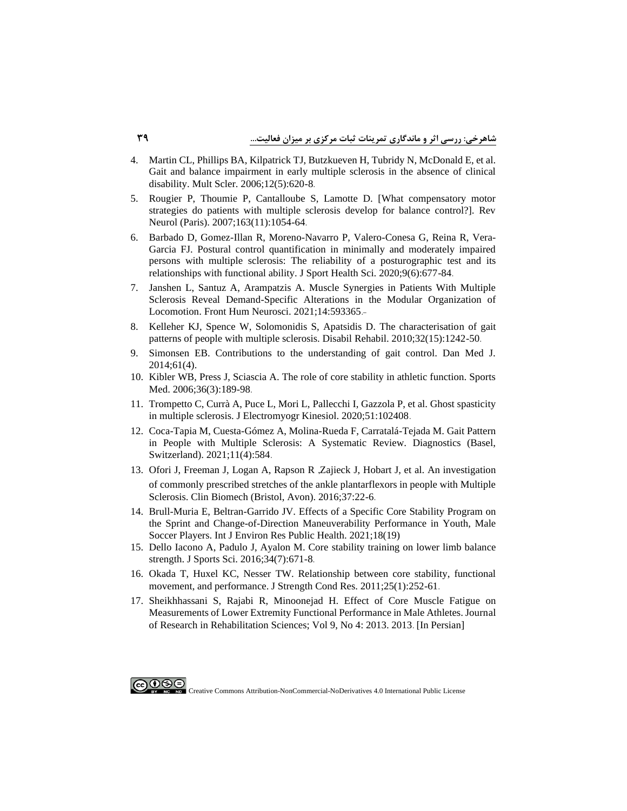- 4. [Martin CL, Phillips BA, Kilpatrick TJ, Butzkueven H, Tubridy N, McDonald E, et al.](https://www.ncbi.nlm.nih.gov/pubmed/17086909)  [Gait and balance impairment in early multiple sclerosis in the absence of clinical](https://www.ncbi.nlm.nih.gov/pubmed/17086909)  [disability. Mult Scler. 2006;12\(5\):620-8](https://www.ncbi.nlm.nih.gov/pubmed/17086909) .
- 5. [Rougier P, Thoumie P, Cantalloube S, Lamotte D. \[What compensatory motor](https://www.ncbi.nlm.nih.gov/pubmed/18033044)  [strategies do patients with multiple sclerosis develop for balance control?\]. Rev](https://www.ncbi.nlm.nih.gov/pubmed/18033044)  [Neurol \(Paris\). 2007;163\(11\):1054-64](https://www.ncbi.nlm.nih.gov/pubmed/18033044).
- 6. Barbado [D, Gomez-Illan R, Moreno-Navarro P, Valero-Conesa G, Reina R, Vera-](https://www.ncbi.nlm.nih.gov/pubmed/33308819)[Garcia FJ. Postural control quantification in minimally and moderately impaired](https://www.ncbi.nlm.nih.gov/pubmed/33308819)  [persons with multiple sclerosis: The reliability of a posturographic test and its](https://www.ncbi.nlm.nih.gov/pubmed/33308819)  [relationships with functional ability. J Sport Health Sci. 2020;9\(6\):677-84](https://www.ncbi.nlm.nih.gov/pubmed/33308819) .
- 7. [Janshen L, Santuz A, Arampatzis A. Muscle Synergies in Patients With Multiple](https://pubmed.ncbi.nlm.nih.gov/33584221)  [Sclerosis Reveal Demand-Specific Alterations in the Modular Organization of](https://pubmed.ncbi.nlm.nih.gov/33584221)  [Locomotion. Front Hum Neurosci. 2021;14:593365](https://pubmed.ncbi.nlm.nih.gov/33584221) .-
- 8. [Kelleher KJ, Spence W, Solomonidis S, Apatsidis D. The characterisation of gait](https://www.ncbi.nlm.nih.gov/pubmed/20156050)  [patterns of people with multiple sclerosis. Disabil Rehabil. 2010;32\(15\):1242-50](https://www.ncbi.nlm.nih.gov/pubmed/20156050) .
- 9. [Simonsen EB. Contributions to the understanding of gait control. Dan Med J.](https://www.ncbi.nlm.nih.gov/pubmed/24814597)  [2014;61\(4\).](https://www.ncbi.nlm.nih.gov/pubmed/24814597)
- 10. [Kibler WB, Press J, Sciascia A. The role of core stability in athletic function. Sports](https://www.ncbi.nlm.nih.gov/pubmed/16526831)  [Med. 2006;36\(3\):189-98](https://www.ncbi.nlm.nih.gov/pubmed/16526831).
- 11. Trompetto C, Currà A, Puce L, Mori L, [Pallecchi I, Gazzola P, et al. Ghost spasticity](https://www.ncbi.nlm.nih.gov/pubmed/32120056)  [in multiple sclerosis. J Electromyogr Kinesiol. 2020;51:102408](https://www.ncbi.nlm.nih.gov/pubmed/32120056) .
- 12. [Coca-Tapia M, Cuesta-Gómez A, Molina-Rueda F, Carratalá-Tejada M. Gait Pattern](https://pubmed.ncbi.nlm.nih.gov/33805095)  [in People with Multiple Sclerosis: A Systematic Review. Diagnostics \(Basel,](https://pubmed.ncbi.nlm.nih.gov/33805095)  [Switzerland\). 2021;11\(4\):584](https://pubmed.ncbi.nlm.nih.gov/33805095) .
- 13. Ofori J, Freeman J, Logan A, Rapson R ,Zajieck J, Hobart J, et al. An investigation [of commonly prescribed stretches of the ankle plantarflexors in people with Multiple](https://www.ncbi.nlm.nih.gov/pubmed/27286554)  [Sclerosis. Clin Biomech \(Bristol, Avon\). 2016;37:22-6](https://www.ncbi.nlm.nih.gov/pubmed/27286554) .
- 14. [Brull-Muria E, Beltran-Garrido JV. Effects of a Specific Core Stability Program on](https://www.ncbi.nlm.nih.gov/pubmed/34639418)  [the Sprint and Change-of-Direction Maneuverability Performance in Youth, Male](https://www.ncbi.nlm.nih.gov/pubmed/34639418)  [Soccer Players. Int J Environ Res Public Health. 2021;18\(19\)](https://www.ncbi.nlm.nih.gov/pubmed/34639418)
- 15. [Dello Iacono A, Padulo J, Ayalon M. Core](https://www.ncbi.nlm.nih.gov/pubmed/26177151) stability training on lower limb balance strength. J [Sports Sci. 2016;34\(7\):671-8](https://www.ncbi.nlm.nih.gov/pubmed/26177151) .
- 16. [Okada T, Huxel KC, Nesser TW. Relationship between core stability, functional](https://www.ncbi.nlm.nih.gov/pubmed/20179652)  [movement, and performance. J Strength Cond Res. 2011;25\(1\):252-61](https://www.ncbi.nlm.nih.gov/pubmed/20179652).
- 17. [Sheikhhassani S, Rajabi R, Minoonejad H. Effect of Core Muscle Fatigue](http://jrrs.mui.ac.ir/index.php/jrrs/article/view/916) on [Measurements of Lower Extremity Functional Performance in Male Athletes. Journal](http://jrrs.mui.ac.ir/index.php/jrrs/article/view/916)  [of Research in Rehabilitation Sciences; Vol 9, No 4: 2013. 2013](http://jrrs.mui.ac.ir/index.php/jrrs/article/view/916) . [In Persian]

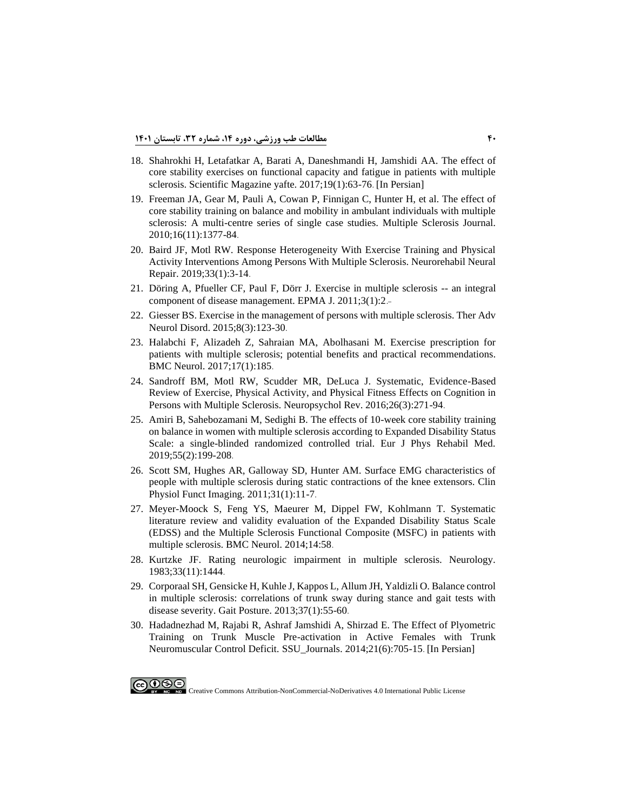- 18. [Shahrokhi H, Letafatkar A, Barati A, Daneshmandi H, Jamshidi](http://yafte.lums.ac.ir/article-1-2480-en.html) AA. The effect of [core stability exercises on functional capacity and fatigue in patients with multiple](http://yafte.lums.ac.ir/article-1-2480-en.html)  [sclerosis. Scientific Magazine yafte. 2017;19\(1\):63-76](http://yafte.lums.ac.ir/article-1-2480-en.html). [In Persian]
- 19. Freeman JA, Gear M, Pauli [A, Cowan P, Finnigan C, Hunter H, et al. The effect of](https://doi.org/10.1177/1352458510378126)  [core stability training on balance and mobility in ambulant individuals with multiple](https://doi.org/10.1177/1352458510378126)  [sclerosis: A multi-centre series of single case studies. Multiple Sclerosis Journal.](https://doi.org/10.1177/1352458510378126)  [2010;16\(11\):1377-84](https://doi.org/10.1177/1352458510378126) .
- 20. [Baird JF, Motl RW. Response Heterogeneity With Exercise Training and Physical](https://www.ncbi.nlm.nih.gov/pubmed/30585528)  [Activity Interventions Among Persons With Multiple Sclerosis. Neurorehabil Neural](https://www.ncbi.nlm.nih.gov/pubmed/30585528)  [Repair. 2019;33\(1\):3-14](https://www.ncbi.nlm.nih.gov/pubmed/30585528) .
- 21. [Döring A, Pfueller CF, Paul F, Dörr J. Exercise in multiple sclerosis --](https://pubmed.ncbi.nlm.nih.gov/22738091) an integral [component of disease management. EPMA J. 2011;3\(1\):2](https://pubmed.ncbi.nlm.nih.gov/22738091).-
- 22. Giesser BS. Exercise [in the management of persons with multiple sclerosis. Ther Adv](https://pubmed.ncbi.nlm.nih.gov/25941539)  [Neurol Disord. 2015;8\(3\):123-30](https://pubmed.ncbi.nlm.nih.gov/25941539) .
- 23. [Halabchi F, Alizadeh Z, Sahraian MA, Abolhasani M. Exercise prescription for](https://www.ncbi.nlm.nih.gov/pubmed/28915856)  [patients with multiple sclerosis; potential benefits and practical recommendations.](https://www.ncbi.nlm.nih.gov/pubmed/28915856)  [BMC Neurol. 2017;17\(1\):185](https://www.ncbi.nlm.nih.gov/pubmed/28915856) .
- 24. [Sandroff BM, Motl RW, Scudder MR, DeLuca J. Systematic, Evidence-Based](https://www.ncbi.nlm.nih.gov/pubmed/27447980)  [Review of Exercise, Physical Activity, and Physical Fitness Effects on Cognition in](https://www.ncbi.nlm.nih.gov/pubmed/27447980)  [Persons with Multiple Sclerosis. Neuropsychol Rev. 2016;26\(3\):271-94](https://www.ncbi.nlm.nih.gov/pubmed/27447980) .
- 25. [Amiri B, Sahebozamani M, Sedighi B. The effects of 10-week core stability training](https://www.ncbi.nlm.nih.gov/pubmed/29307152)  on balance in women with multiple [sclerosis according to Expanded Disability Status](https://www.ncbi.nlm.nih.gov/pubmed/29307152)  [Scale: a single-blinded randomized controlled trial. Eur J Phys Rehabil Med.](https://www.ncbi.nlm.nih.gov/pubmed/29307152)  [2019;55\(2\):199-208](https://www.ncbi.nlm.nih.gov/pubmed/29307152) .
- 26. Scott [SM, Hughes AR, Galloway SD, Hunter AM. Surface EMG characteristics of](https://www.ncbi.nlm.nih.gov/pubmed/20807227)  [people with multiple sclerosis during static contractions of the knee extensors. Clin](https://www.ncbi.nlm.nih.gov/pubmed/20807227)  [Physiol Funct Imaging. 2011;31\(1\):11-7](https://www.ncbi.nlm.nih.gov/pubmed/20807227) .
- 27. [Meyer-Moock S, Feng YS, Maeurer M, Dippel FW, Kohlmann T. Systematic](https://www.ncbi.nlm.nih.gov/pubmed/24666846)  [literature review and validity evaluation of the Expanded Disability Status Scale](https://www.ncbi.nlm.nih.gov/pubmed/24666846)  [\(EDSS\) and the Multiple Sclerosis Functional Composite \(MSFC\) in patients with](https://www.ncbi.nlm.nih.gov/pubmed/24666846)  [multiple sclerosis. BMC Neurol. 2014;14:58](https://www.ncbi.nlm.nih.gov/pubmed/24666846) .
- 28. [Kurtzke JF. Rating neurologic impairment in multiple sclerosis. Neurology.](http://n.neurology.org/content/33/11/1444.abstract)  [1983;33\(11\):1444](http://n.neurology.org/content/33/11/1444.abstract) .
- 29. [Corporaal SH, Gensicke H, Kuhle J, Kappos L, Allum JH, Yaldizli O. Balance control](https://www.ncbi.nlm.nih.gov/pubmed/22874664)  [in multiple sclerosis: correlations of trunk sway during stance and gait tests with](https://www.ncbi.nlm.nih.gov/pubmed/22874664)  [disease severity. Gait Posture. 2013;37\(1\):55-60](https://www.ncbi.nlm.nih.gov/pubmed/22874664).
- 30. [Hadadnezhad M, Rajabi R, Ashraf Jamshidi A, Shirzad E. The Effect of Plyometric](http://jssu.ssu.ac.ir/article-1-2250-en.html)  [Training on Trunk Muscle Pre-activation in Active Females with Trunk](http://jssu.ssu.ac.ir/article-1-2250-en.html)  [Neuromuscular Control Deficit. SSU\\_Journals. 2014;21\(6\):705-15](http://jssu.ssu.ac.ir/article-1-2250-en.html). [In Persian]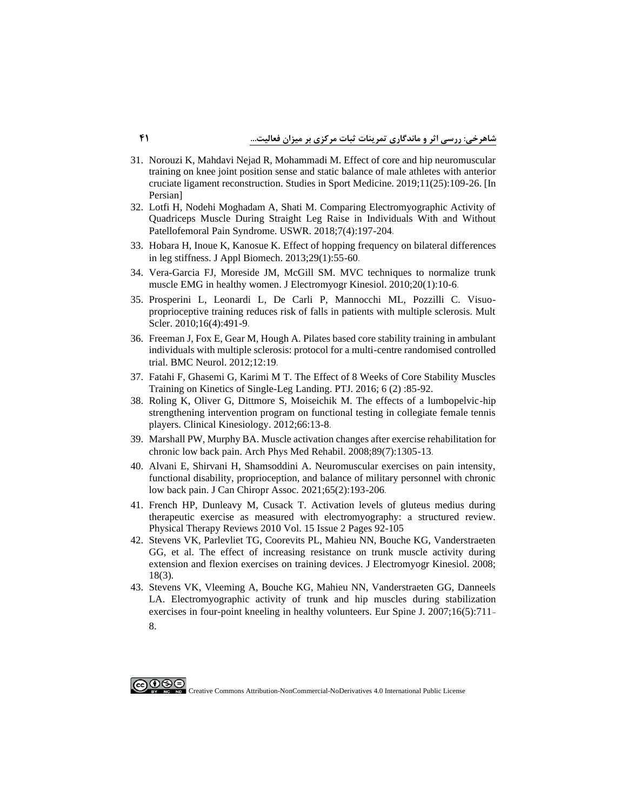- 31. [Norouzi K, Mahdavi Nejad R, Mohammadi M. Effect of core and hip neuromuscular](https://smj.ssrc.ac.ir/article_1837.html)  [training on knee joint position sense and static balance of male athletes](https://smj.ssrc.ac.ir/article_1837.html) with anterior [cruciate ligament reconstruction. Studies in Sport Medicine. 2019;11\(25\):109-26. \[In](https://smj.ssrc.ac.ir/article_1837.html)  [Persian\]](https://smj.ssrc.ac.ir/article_1837.html)
- 32. [Lotfi H, Nodehi Moghadam A, Shati M. Comparing Electromyographic Activity of](http://ptj.uswr.ac.ir/article-1-356-en.html)  [Quadriceps Muscle During Straight Leg Raise in Individuals With and Without](http://ptj.uswr.ac.ir/article-1-356-en.html)  [Patellofemoral Pain Syndrome. USWR. 2018;7\(4\):197-204](http://ptj.uswr.ac.ir/article-1-356-en.html) .
- 33. [Hobara H, Inoue K, Kanosue K. Effect of hopping frequency on bilateral differences](https://www.ncbi.nlm.nih.gov/pubmed/23462443)  [in leg stiffness. J Appl Biomech. 2013;29\(1\):55-60](https://www.ncbi.nlm.nih.gov/pubmed/23462443) .
- 34. [Vera-Garcia FJ, Moreside JM, McGill SM. MVC techniques to normalize trunk](https://www.ncbi.nlm.nih.gov/pubmed/19394867)  [muscle EMG in healthy women. J Electromyogr Kinesiol. 2010;20\(1\):10-6](https://www.ncbi.nlm.nih.gov/pubmed/19394867) .
- 35. [Prosperini L, Leonardi L, De Carli P, Mannocchi ML, Pozzilli C. Visuo](https://www.ncbi.nlm.nih.gov/pubmed/20150396)[proprioceptive training reduces risk of falls in patients with multiple sclerosis. Mult](https://www.ncbi.nlm.nih.gov/pubmed/20150396)  [Scler. 2010;16\(4\):491-9](https://www.ncbi.nlm.nih.gov/pubmed/20150396).
- 36. [Freeman J, Fox E, Gear M, Hough A. Pilates based core stability training in ambulant](https://www.ncbi.nlm.nih.gov/pubmed/22480437)  [individuals with multiple sclerosis: protocol for a multi-centre randomised controlled](https://www.ncbi.nlm.nih.gov/pubmed/22480437)  [trial. BMC Neurol. 2012;12:19](https://www.ncbi.nlm.nih.gov/pubmed/22480437) .
- 37. [Fatahi F, Ghasemi G, Karimi M T. The Effect of 8 Weeks of Core Stability Muscles](https://ptj.uswr.ac.ir/browse.php?a_id=267&slc_lang=en&sid=1&ftxt=1&html=1)  [Training on Kinetics of Single-Leg Landing. PTJ. 2016; 6 \(2\) :85-92.](https://ptj.uswr.ac.ir/browse.php?a_id=267&slc_lang=en&sid=1&ftxt=1&html=1)
- 38. [Roling K, Oliver G, Dittmore S, Moiseichik M. The effects of a lumbopelvic-hip](http://www.clinicalkinesiology.net/)  [strengthening intervention program on functional testing in collegiate female tennis](http://www.clinicalkinesiology.net/)  [players. Clinical Kinesiology. 2012;66:13-8](http://www.clinicalkinesiology.net/) .
- 39. [Marshall PW, Murphy BA. Muscle activation changes after](https://www.ncbi.nlm.nih.gov/pubmed/18586132) exercise rehabilitation for [chronic low back pain. Arch Phys Med Rehabil. 2008;89\(7\):1305-13](https://www.ncbi.nlm.nih.gov/pubmed/18586132) .
- 40. [Alvani E, Shirvani H, Shamsoddini A. Neuromuscular exercises on pain intensity,](https://www.ncbi.nlm.nih.gov/pubmed/34658391)  [functional disability, proprioception, and balance of military personnel with chronic](https://www.ncbi.nlm.nih.gov/pubmed/34658391)  [low back pain. J Can Chiropr Assoc. 2021;65\(2\):193-206](https://www.ncbi.nlm.nih.gov/pubmed/34658391) .
- 41. [French HP, Dunleavy M, Cusack T. Activation levels of gluteus medius during](https://doi.org/10.1179/174328810X12719009060380)  [therapeutic exercise as measured with electromyography: a structured review.](https://doi.org/10.1179/174328810X12719009060380)  [Physical Therapy Reviews 2010 Vol. 15 Issue 2 Pages 92-105](https://doi.org/10.1179/174328810X12719009060380)
- 42. [Stevens VK, Parlevliet TG, Coorevits PL, Mahieu NN, Bouche KG, Vanderstraeten](https://www.ncbi.nlm.nih.gov/pubmed/17196829)  [GG, et al. The effect of increasing resistance on trunk muscle activity during](https://www.ncbi.nlm.nih.gov/pubmed/17196829)  [extension and flexion exercises on training devices. J Electromyogr Kinesiol. 2008;](https://www.ncbi.nlm.nih.gov/pubmed/17196829)  [18\(3\).](https://www.ncbi.nlm.nih.gov/pubmed/17196829)
- 43. [Stevens VK, Vleeming A, Bouche KG, Mahieu NN, Vanderstraeten GG, Danneels](https://pubmed.ncbi.nlm.nih.gov/16896840)  [LA. Electromyographic activity of trunk and hip muscles during stabilization](https://pubmed.ncbi.nlm.nih.gov/16896840)  [exercises in four-point kneeling in healthy volunteers. Eur Spine J. 2007;16\(5\):711](https://pubmed.ncbi.nlm.nih.gov/16896840) - [8.](https://pubmed.ncbi.nlm.nih.gov/16896840)